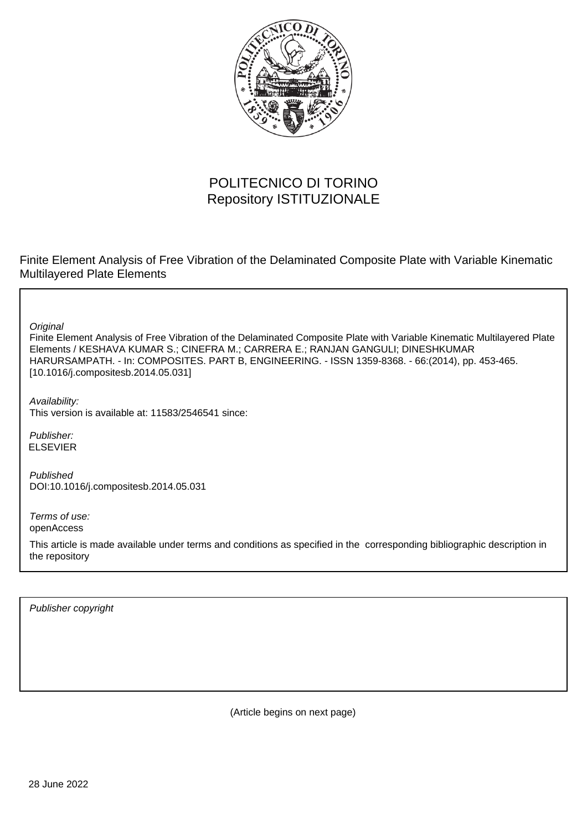

## POLITECNICO DI TORINO Repository ISTITUZIONALE

Finite Element Analysis of Free Vibration of the Delaminated Composite Plate with Variable Kinematic Multilayered Plate Elements

**Original** 

Finite Element Analysis of Free Vibration of the Delaminated Composite Plate with Variable Kinematic Multilayered Plate Elements / KESHAVA KUMAR S.; CINEFRA M.; CARRERA E.; RANJAN GANGULI; DINESHKUMAR HARURSAMPATH. - In: COMPOSITES. PART B, ENGINEERING. - ISSN 1359-8368. - 66:(2014), pp. 453-465. [10.1016/j.compositesb.2014.05.031]

Availability: This version is available at: 11583/2546541 since:

Publisher: ELSEVIER

Published DOI:10.1016/j.compositesb.2014.05.031

Terms of use: openAccess

This article is made available under terms and conditions as specified in the corresponding bibliographic description in the repository

Publisher copyright

(Article begins on next page)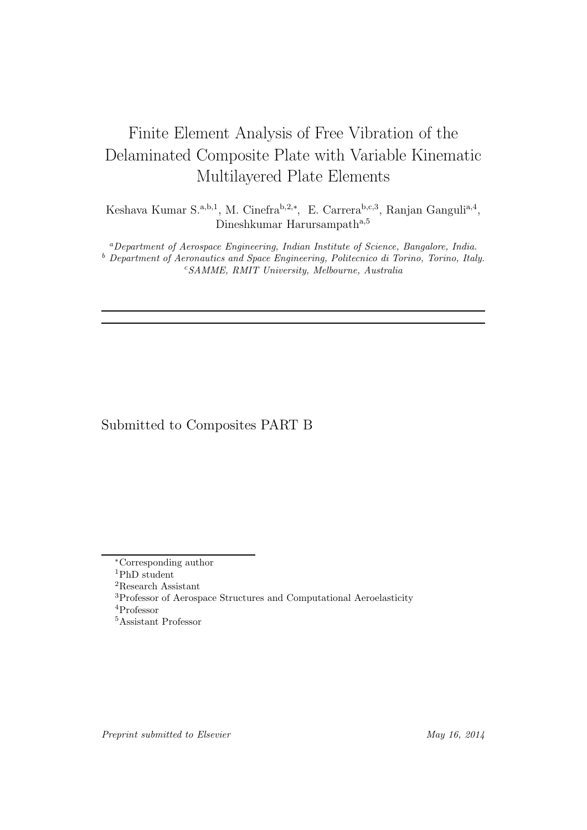# Finite Element Analysis of Free Vibration of the Delaminated Composite Plate with Variable Kinematic Multilayered Plate Elements

Keshava Kumar S.<sup>a,b,1</sup>, M. Cinefra<sup>b,2,\*</sup>, E. Carrera<sup>b,c,3</sup>, Ranjan Ganguli<sup>a,4</sup>, Dineshkumar Harursampath<sup>a,5</sup>

<sup>a</sup>Department of Aerospace Engineering, Indian Institute of Science, Bangalore, India. <sup>b</sup> Department of Aeronautics and Space Engineering, Politecnico di Torino, Torino, Italy.  $c$ SAMME, RMIT University, Melbourne, Australia

### Submitted to Composites PART B

<sup>4</sup>Professor

<sup>∗</sup>Corresponding author

<sup>1</sup>PhD student

<sup>2</sup>Research Assistant

<sup>3</sup>Professor of Aerospace Structures and Computational Aeroelasticity

<sup>5</sup>Assistant Professor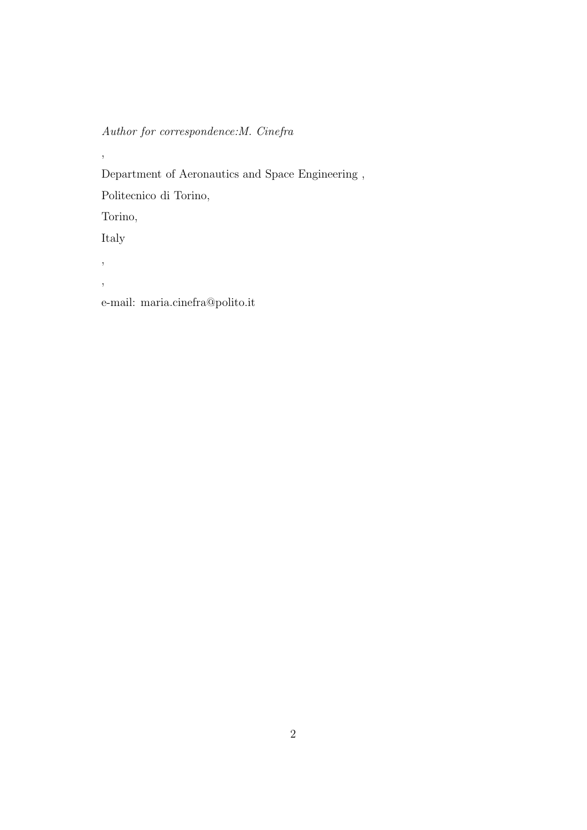*Author for correspondence:M. Cinefra*

,

Department of Aeronautics and Space Engineering ,

Politecnico di Torino,

Torino,

Italy

,

,

e-mail: maria.cinefra@polito.it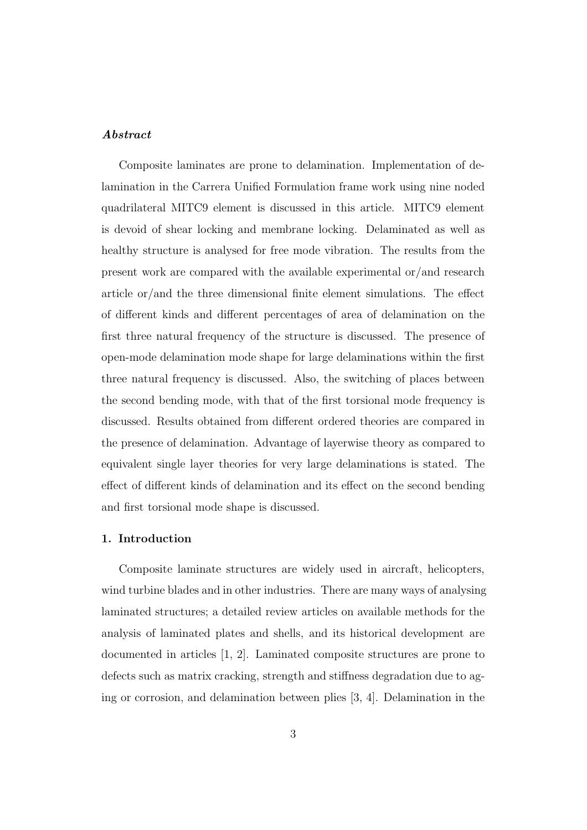### Abstract

Composite laminates are prone to delamination. Implementation of delamination in the Carrera Unified Formulation frame work using nine noded quadrilateral MITC9 element is discussed in this article. MITC9 element is devoid of shear locking and membrane locking. Delaminated as well as healthy structure is analysed for free mode vibration. The results from the present work are compared with the available experimental or/and research article or/and the three dimensional finite element simulations. The effect of different kinds and different percentages of area of delamination on the first three natural frequency of the structure is discussed. The presence of open-mode delamination mode shape for large delaminations within the first three natural frequency is discussed. Also, the switching of places between the second bending mode, with that of the first torsional mode frequency is discussed. Results obtained from different ordered theories are compared in the presence of delamination. Advantage of layerwise theory as compared to equivalent single layer theories for very large delaminations is stated. The effect of different kinds of delamination and its effect on the second bending and first torsional mode shape is discussed.

### 1. Introduction

Composite laminate structures are widely used in aircraft, helicopters, wind turbine blades and in other industries. There are many ways of analysing laminated structures; a detailed review articles on available methods for the analysis of laminated plates and shells, and its historical development are documented in articles [1, 2]. Laminated composite structures are prone to defects such as matrix cracking, strength and stiffness degradation due to aging or corrosion, and delamination between plies [3, 4]. Delamination in the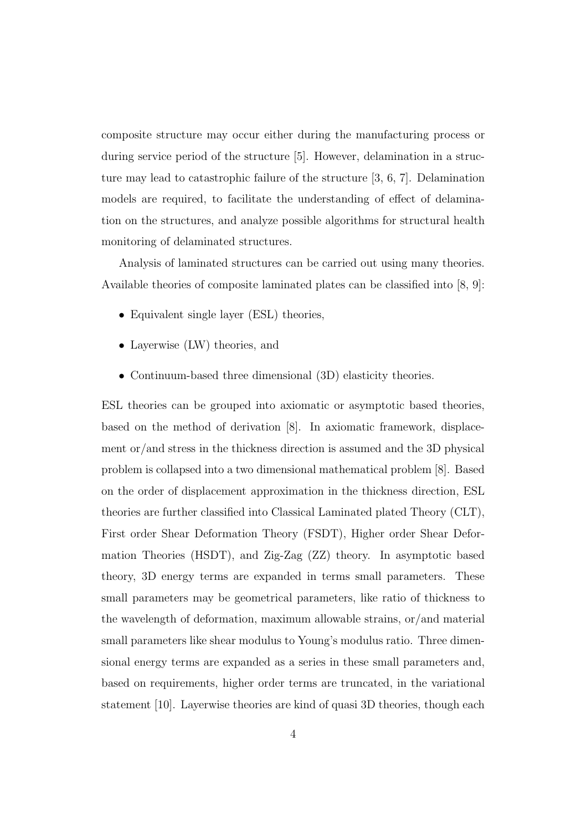composite structure may occur either during the manufacturing process or during service period of the structure [5]. However, delamination in a structure may lead to catastrophic failure of the structure [3, 6, 7]. Delamination models are required, to facilitate the understanding of effect of delamination on the structures, and analyze possible algorithms for structural health monitoring of delaminated structures.

Analysis of laminated structures can be carried out using many theories. Available theories of composite laminated plates can be classified into [8, 9]:

- Equivalent single layer (ESL) theories,
- Layerwise (LW) theories, and
- Continuum-based three dimensional (3D) elasticity theories.

ESL theories can be grouped into axiomatic or asymptotic based theories, based on the method of derivation [8]. In axiomatic framework, displacement or/and stress in the thickness direction is assumed and the 3D physical problem is collapsed into a two dimensional mathematical problem [8]. Based on the order of displacement approximation in the thickness direction, ESL theories are further classified into Classical Laminated plated Theory (CLT), First order Shear Deformation Theory (FSDT), Higher order Shear Deformation Theories (HSDT), and Zig-Zag (ZZ) theory. In asymptotic based theory, 3D energy terms are expanded in terms small parameters. These small parameters may be geometrical parameters, like ratio of thickness to the wavelength of deformation, maximum allowable strains, or/and material small parameters like shear modulus to Young's modulus ratio. Three dimensional energy terms are expanded as a series in these small parameters and, based on requirements, higher order terms are truncated, in the variational statement [10]. Layerwise theories are kind of quasi 3D theories, though each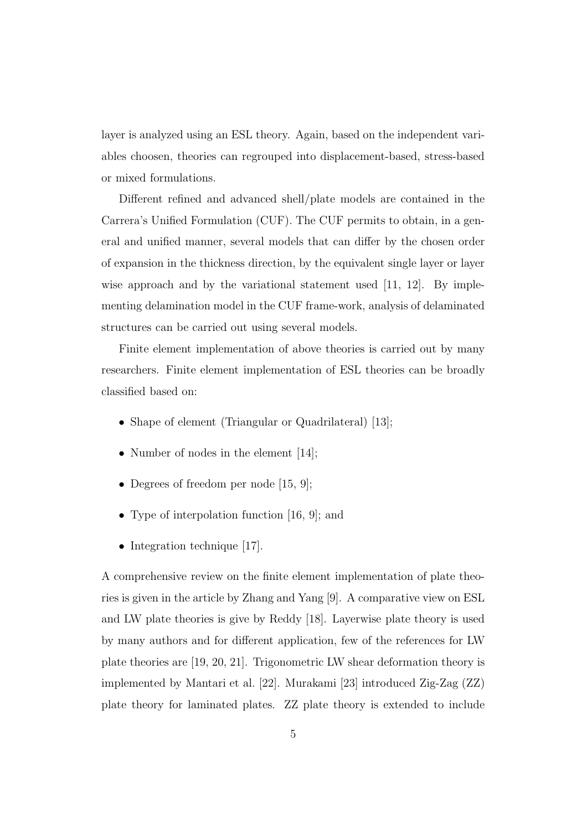layer is analyzed using an ESL theory. Again, based on the independent variables choosen, theories can regrouped into displacement-based, stress-based or mixed formulations.

Different refined and advanced shell/plate models are contained in the Carrera's Unified Formulation (CUF). The CUF permits to obtain, in a general and unified manner, several models that can differ by the chosen order of expansion in the thickness direction, by the equivalent single layer or layer wise approach and by the variational statement used [11, 12]. By implementing delamination model in the CUF frame-work, analysis of delaminated structures can be carried out using several models.

Finite element implementation of above theories is carried out by many researchers. Finite element implementation of ESL theories can be broadly classified based on:

- Shape of element (Triangular or Quadrilateral) [13];
- Number of nodes in the element [14];
- Degrees of freedom per node [15, 9];
- Type of interpolation function [16, 9]; and
- Integration technique [17].

A comprehensive review on the finite element implementation of plate theories is given in the article by Zhang and Yang [9]. A comparative view on ESL and LW plate theories is give by Reddy [18]. Layerwise plate theory is used by many authors and for different application, few of the references for LW plate theories are [19, 20, 21]. Trigonometric LW shear deformation theory is implemented by Mantari et al. [22]. Murakami [23] introduced Zig-Zag (ZZ) plate theory for laminated plates. ZZ plate theory is extended to include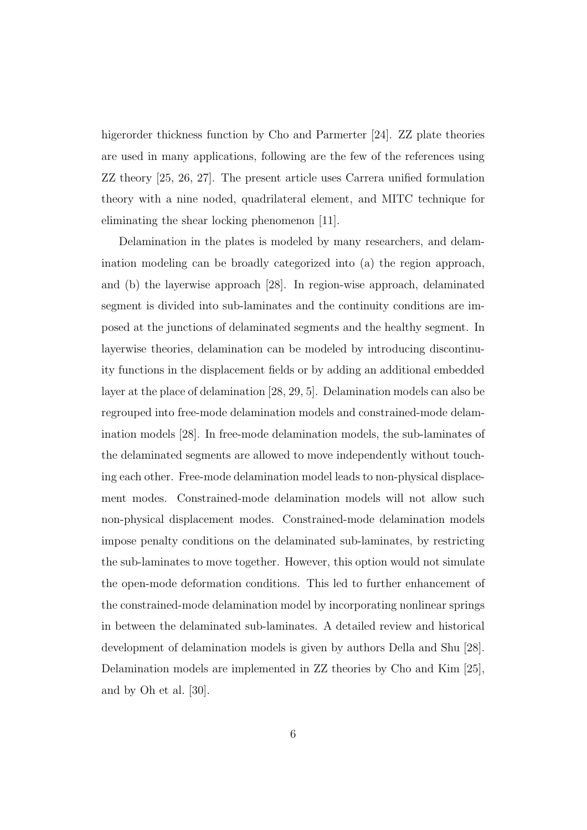higerorder thickness function by Cho and Parmerter [24]. ZZ plate theories are used in many applications, following are the few of the references using ZZ theory [25, 26, 27]. The present article uses Carrera unified formulation theory with a nine noded, quadrilateral element, and MITC technique for eliminating the shear locking phenomenon [11].

Delamination in the plates is modeled by many researchers, and delamination modeling can be broadly categorized into (a) the region approach, and (b) the layerwise approach [28]. In region-wise approach, delaminated segment is divided into sub-laminates and the continuity conditions are imposed at the junctions of delaminated segments and the healthy segment. In layerwise theories, delamination can be modeled by introducing discontinuity functions in the displacement fields or by adding an additional embedded layer at the place of delamination [28, 29, 5]. Delamination models can also be regrouped into free-mode delamination models and constrained-mode delamination models [28]. In free-mode delamination models, the sub-laminates of the delaminated segments are allowed to move independently without touching each other. Free-mode delamination model leads to non-physical displacement modes. Constrained-mode delamination models will not allow such non-physical displacement modes. Constrained-mode delamination models impose penalty conditions on the delaminated sub-laminates, by restricting the sub-laminates to move together. However, this option would not simulate the open-mode deformation conditions. This led to further enhancement of the constrained-mode delamination model by incorporating nonlinear springs in between the delaminated sub-laminates. A detailed review and historical development of delamination models is given by authors Della and Shu [28]. Delamination models are implemented in ZZ theories by Cho and Kim [25], and by Oh et al. [30].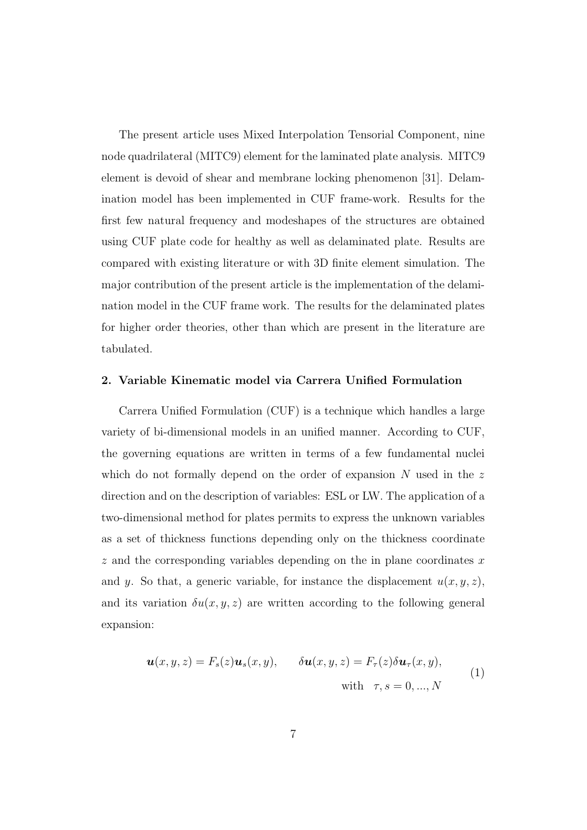The present article uses Mixed Interpolation Tensorial Component, nine node quadrilateral (MITC9) element for the laminated plate analysis. MITC9 element is devoid of shear and membrane locking phenomenon [31]. Delamination model has been implemented in CUF frame-work. Results for the first few natural frequency and modeshapes of the structures are obtained using CUF plate code for healthy as well as delaminated plate. Results are compared with existing literature or with 3D finite element simulation. The major contribution of the present article is the implementation of the delamination model in the CUF frame work. The results for the delaminated plates for higher order theories, other than which are present in the literature are tabulated.

### 2. Variable Kinematic model via Carrera Unified Formulation

Carrera Unified Formulation (CUF) is a technique which handles a large variety of bi-dimensional models in an unified manner. According to CUF, the governing equations are written in terms of a few fundamental nuclei which do not formally depend on the order of expansion  $N$  used in the z direction and on the description of variables: ESL or LW. The application of a two-dimensional method for plates permits to express the unknown variables as a set of thickness functions depending only on the thickness coordinate  $z$  and the corresponding variables depending on the in plane coordinates  $x$ and y. So that, a generic variable, for instance the displacement  $u(x, y, z)$ , and its variation  $\delta u(x, y, z)$  are written according to the following general expansion:

$$
\mathbf{u}(x, y, z) = F_s(z)\mathbf{u}_s(x, y), \qquad \delta\mathbf{u}(x, y, z) = F_\tau(z)\delta\mathbf{u}_\tau(x, y),
$$
  
with  $\tau, s = 0, ..., N$  (1)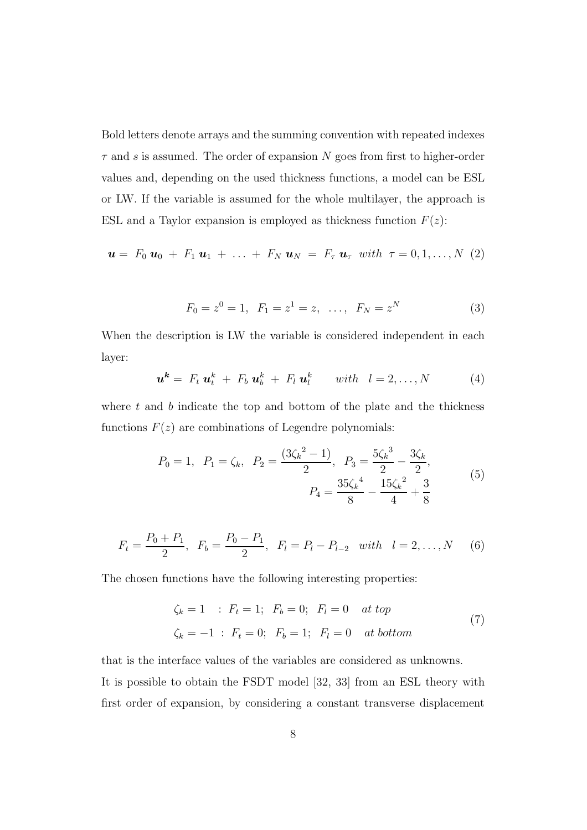Bold letters denote arrays and the summing convention with repeated indexes  $\tau$  and s is assumed. The order of expansion N goes from first to higher-order values and, depending on the used thickness functions, a model can be ESL or LW. If the variable is assumed for the whole multilayer, the approach is ESL and a Taylor expansion is employed as thickness function  $F(z)$ :

$$
\mathbf{u} = F_0 \mathbf{u}_0 + F_1 \mathbf{u}_1 + \ldots + F_N \mathbf{u}_N = F_\tau \mathbf{u}_\tau \text{ with } \tau = 0, 1, \ldots, N \text{ (2)}
$$

$$
F_0 = z^0 = 1, \ \ F_1 = z^1 = z, \ \ \dots, \ \ F_N = z^N \tag{3}
$$

When the description is LW the variable is considered independent in each layer:

$$
\mathbf{u}^k = F_t \mathbf{u}_t^k + F_b \mathbf{u}_b^k + F_l \mathbf{u}_l^k \quad \text{with} \quad l = 2, \ldots, N \tag{4}
$$

where  $t$  and  $b$  indicate the top and bottom of the plate and the thickness functions  $F(z)$  are combinations of Legendre polynomials:

$$
P_0 = 1, \ P_1 = \zeta_k, \ P_2 = \frac{(3\zeta_k^2 - 1)}{2}, \ P_3 = \frac{5\zeta_k^3}{2} - \frac{3\zeta_k}{2},
$$
  

$$
P_4 = \frac{35\zeta_k^4}{8} - \frac{15\zeta_k^2}{4} + \frac{3}{8}
$$
 (5)

$$
F_t = \frac{P_0 + P_1}{2}, \ \ F_b = \frac{P_0 - P_1}{2}, \ \ F_l = P_l - P_{l-2} \ \ with \ \ l = 2, ..., N \tag{6}
$$

The chosen functions have the following interesting properties:

$$
\zeta_k = 1
$$
 :  $F_t = 1$ ;  $F_b = 0$ ;  $F_l = 0$  at top  
\n $\zeta_k = -1$  :  $F_t = 0$ ;  $F_b = 1$ ;  $F_l = 0$  at bottom (7)

that is the interface values of the variables are considered as unknowns. It is possible to obtain the FSDT model [32, 33] from an ESL theory with first order of expansion, by considering a constant transverse displacement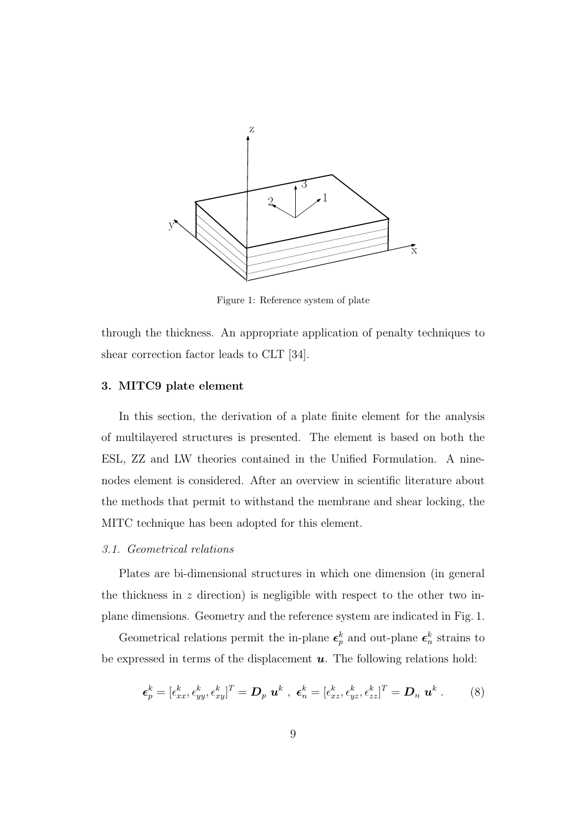

Figure 1: Reference system of plate

through the thickness. An appropriate application of penalty techniques to shear correction factor leads to CLT [34].

### 3. MITC9 plate element

In this section, the derivation of a plate finite element for the analysis of multilayered structures is presented. The element is based on both the ESL, ZZ and LW theories contained in the Unified Formulation. A ninenodes element is considered. After an overview in scientific literature about the methods that permit to withstand the membrane and shear locking, the MITC technique has been adopted for this element.

#### *3.1. Geometrical relations*

Plates are bi-dimensional structures in which one dimension (in general the thickness in  $z$  direction) is negligible with respect to the other two inplane dimensions. Geometry and the reference system are indicated in Fig. 1.

Geometrical relations permit the in-plane  $\epsilon_p^k$  and out-plane  $\epsilon_n^k$  strains to be expressed in terms of the displacement  $\boldsymbol{u}$ . The following relations hold:

$$
\boldsymbol{\epsilon}_p^k = [\epsilon_{xx}^k, \epsilon_{yy}^k, \epsilon_{xy}^k]^T = \boldsymbol{D}_p \ \boldsymbol{u}^k \ , \ \boldsymbol{\epsilon}_n^k = [\epsilon_{xz}^k, \epsilon_{yz}^k, \epsilon_{zz}^k]^T = \boldsymbol{D}_n \ \boldsymbol{u}^k \ . \tag{8}
$$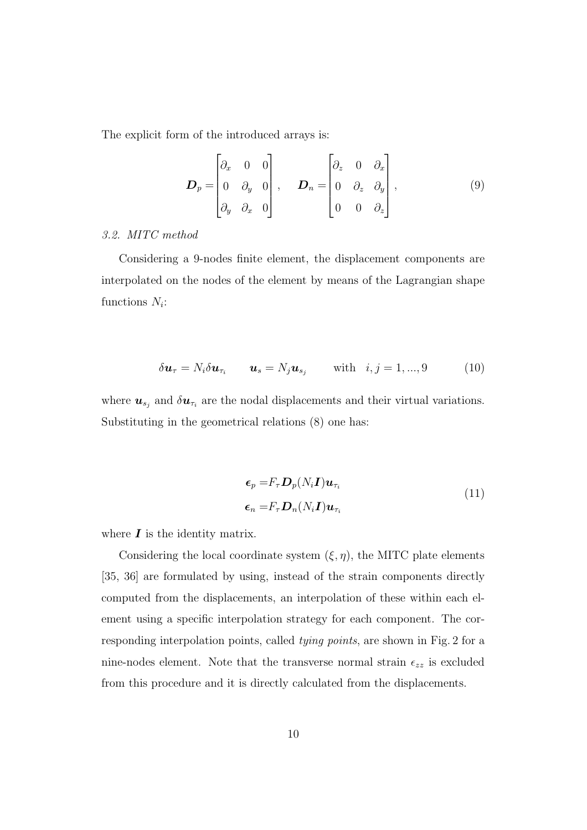The explicit form of the introduced arrays is:

$$
\boldsymbol{D}_p = \begin{bmatrix} \partial_x & 0 & 0 \\ 0 & \partial_y & 0 \\ \partial_y & \partial_x & 0 \end{bmatrix}, \quad \boldsymbol{D}_n = \begin{bmatrix} \partial_z & 0 & \partial_x \\ 0 & \partial_z & \partial_y \\ 0 & 0 & \partial_z \end{bmatrix}, \tag{9}
$$

### *3.2. MITC method*

Considering a 9-nodes finite element, the displacement components are interpolated on the nodes of the element by means of the Lagrangian shape functions  $N_i$ :

$$
\delta \mathbf{u}_{\tau} = N_i \delta \mathbf{u}_{\tau_i} \qquad \mathbf{u}_s = N_j \mathbf{u}_{s_j} \qquad \text{with} \quad i, j = 1, ..., 9 \tag{10}
$$

where  $u_{s_j}$  and  $\delta u_{\tau_i}$  are the nodal displacements and their virtual variations. Substituting in the geometrical relations (8) one has:

$$
\epsilon_p = F_{\tau} D_p(N_i \mathbf{I}) \mathbf{u}_{\tau_i}
$$
  
\n
$$
\epsilon_n = F_{\tau} D_n(N_i \mathbf{I}) \mathbf{u}_{\tau_i}
$$
\n(11)

where  $\boldsymbol{I}$  is the identity matrix.

Considering the local coordinate system  $(\xi, \eta)$ , the MITC plate elements [35, 36] are formulated by using, instead of the strain components directly computed from the displacements, an interpolation of these within each element using a specific interpolation strategy for each component. The corresponding interpolation points, called *tying points*, are shown in Fig. 2 for a nine-nodes element. Note that the transverse normal strain  $\epsilon_{zz}$  is excluded from this procedure and it is directly calculated from the displacements.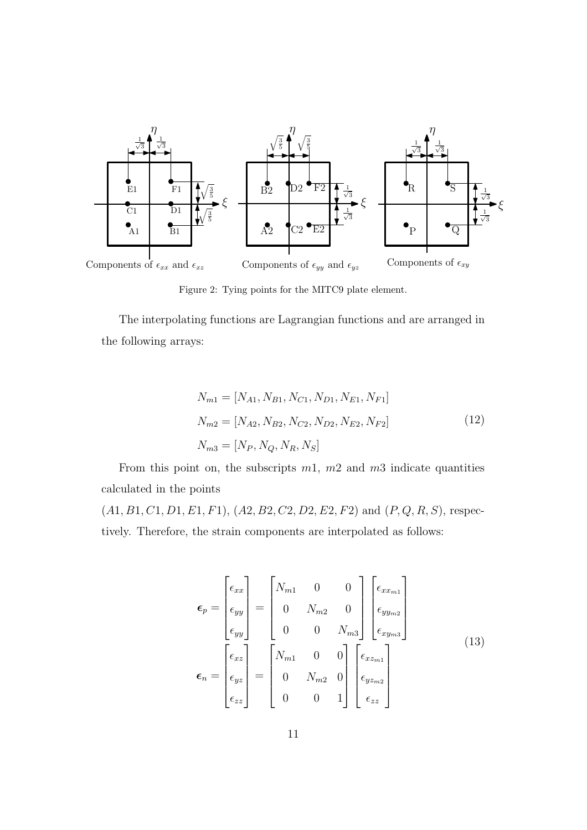

Figure 2: Tying points for the MITC9 plate element.

The interpolating functions are Lagrangian functions and are arranged in the following arrays:

$$
N_{m1} = [N_{A1}, N_{B1}, N_{C1}, N_{D1}, N_{E1}, N_{F1}]
$$
  
\n
$$
N_{m2} = [N_{A2}, N_{B2}, N_{C2}, N_{D2}, N_{E2}, N_{F2}]
$$
  
\n
$$
N_{m3} = [N_P, N_Q, N_R, N_S]
$$
\n(12)

From this point on, the subscripts  $m_1$ ,  $m_2$  and  $m_3$  indicate quantities calculated in the points

 $(A1, B1, C1, D1, E1, F1), (A2, B2, C2, D2, E2, F2)$  and  $(P, Q, R, S)$ , respectively. Therefore, the strain components are interpolated as follows:

$$
\epsilon_p = \begin{bmatrix} \epsilon_{xx} \\ \epsilon_{yy} \\ \epsilon_{yy} \end{bmatrix} = \begin{bmatrix} N_{m1} & 0 & 0 \\ 0 & N_{m2} & 0 \\ 0 & 0 & N_{m3} \end{bmatrix} \begin{bmatrix} \epsilon_{xx_{m1}} \\ \epsilon_{yy_{m2}} \\ \epsilon_{xy_{m3}} \end{bmatrix}
$$
\n
$$
\epsilon_n = \begin{bmatrix} \epsilon_{xz} \\ \epsilon_{yz} \\ \epsilon_{zz} \end{bmatrix} = \begin{bmatrix} N_{m1} & 0 & 0 \\ 0 & N_{m2} & 0 \\ 0 & 0 & 1 \end{bmatrix} \begin{bmatrix} \epsilon_{xz_{m1}} \\ \epsilon_{yz_{m2}} \\ \epsilon_{yz} \end{bmatrix}
$$
\n(13)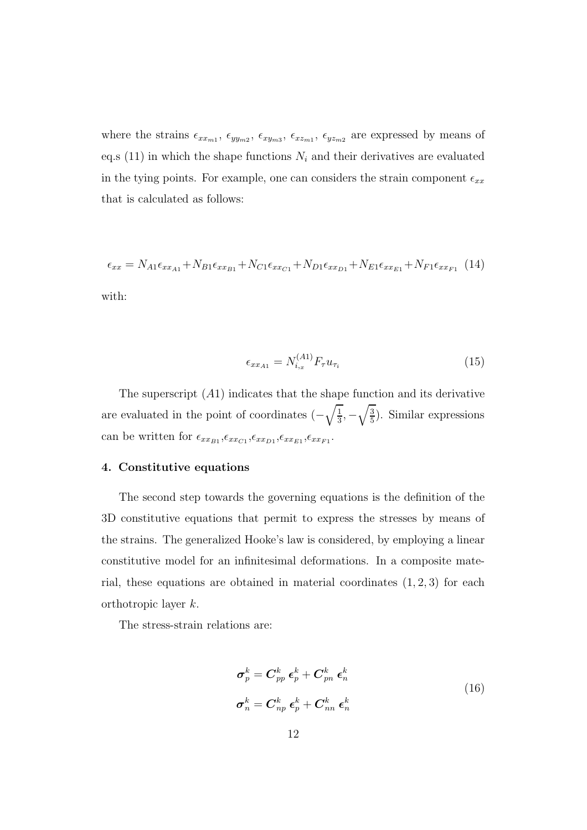where the strains  $\epsilon_{xx_{m1}}, \epsilon_{yy_{m2}}, \epsilon_{xy_{m3}}, \epsilon_{xz_{m1}}, \epsilon_{yz_{m2}}$  are expressed by means of eq.s (11) in which the shape functions  $N_i$  and their derivatives are evaluated in the tying points. For example, one can considers the strain component  $\epsilon_{xx}$ that is calculated as follows:

$$
\epsilon_{xx} = N_{A1}\epsilon_{xx_{A1}} + N_{B1}\epsilon_{xx_{B1}} + N_{C1}\epsilon_{xx_{C1}} + N_{D1}\epsilon_{xx_{D1}} + N_{E1}\epsilon_{xx_{E1}} + N_{F1}\epsilon_{xx_{F1}} \tag{14}
$$

with:

$$
\epsilon_{xx_{A1}} = N_{i,x}^{(A1)} F_{\tau} u_{\tau_i} \tag{15}
$$

The superscript  $(A1)$  indicates that the shape function and its derivative are evaluated in the point of coordinates  $\left(-\sqrt{\frac{1}{3}}\right)$  $\frac{1}{3}, -\sqrt{\frac{3}{5}}$  $\frac{3}{5}$ ). Similar expressions can be written for  $\epsilon_{xx_{B1}}, \epsilon_{xx_{C1}}, \epsilon_{xx_{D1}}, \epsilon_{xx_{E1}}, \epsilon_{xx_{F1}}.$ 

### 4. Constitutive equations

The second step towards the governing equations is the definition of the 3D constitutive equations that permit to express the stresses by means of the strains. The generalized Hooke's law is considered, by employing a linear constitutive model for an infinitesimal deformations. In a composite material, these equations are obtained in material coordinates  $(1, 2, 3)$  for each orthotropic layer k.

The stress-strain relations are:

$$
\sigma_p^k = C_{pp}^k \epsilon_p^k + C_{pn}^k \epsilon_n^k
$$
  
\n
$$
\sigma_n^k = C_{np}^k \epsilon_p^k + C_{nn}^k \epsilon_n^k
$$
\n(16)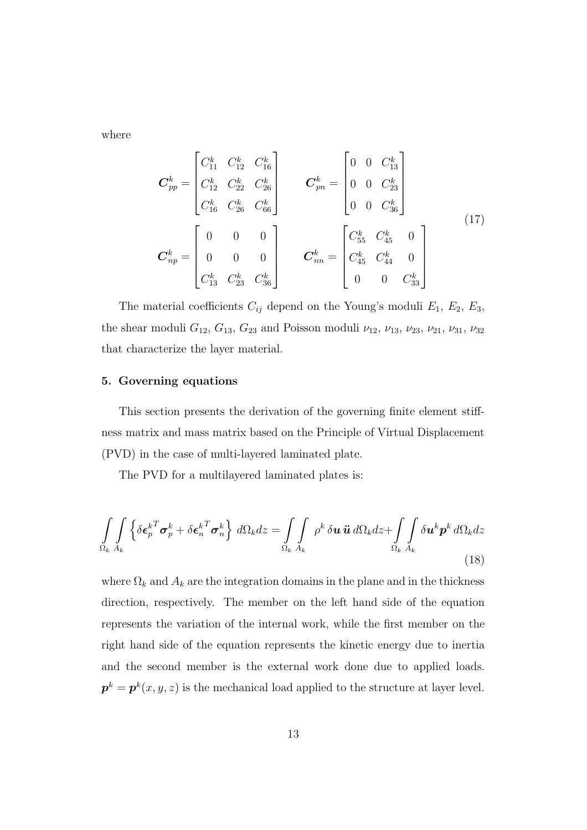where

$$
\boldsymbol{C}_{pp}^{k} = \begin{bmatrix} C_{11}^{k} & C_{12}^{k} & C_{16}^{k} \\ C_{12}^{k} & C_{22}^{k} & C_{26}^{k} \\ C_{16}^{k} & C_{26}^{k} & C_{66}^{k} \end{bmatrix} \qquad \boldsymbol{C}_{pn}^{k} = \begin{bmatrix} 0 & 0 & C_{13}^{k} \\ 0 & 0 & C_{23}^{k} \\ 0 & 0 & C_{36}^{k} \end{bmatrix}
$$
\n
$$
\boldsymbol{C}_{np}^{k} = \begin{bmatrix} 0 & 0 & 0 \\ 0 & 0 & 0 \\ 0 & 0 & 0 \\ C_{13}^{k} & C_{23}^{k} & C_{36}^{k} \end{bmatrix} \qquad \boldsymbol{C}_{nn}^{k} = \begin{bmatrix} C_{55}^{k} & C_{45}^{k} & 0 \\ C_{45}^{k} & C_{44}^{k} & 0 \\ 0 & 0 & C_{33}^{k} \end{bmatrix}
$$
\n
$$
(17)
$$

The material coefficients  $C_{ij}$  depend on the Young's moduli  $E_1, E_2, E_3$ , the shear moduli  $G_{12}$ ,  $G_{13}$ ,  $G_{23}$  and Poisson moduli  $\nu_{12}$ ,  $\nu_{13}$ ,  $\nu_{23}$ ,  $\nu_{21}$ ,  $\nu_{31}$ ,  $\nu_{32}$ that characterize the layer material.

### 5. Governing equations

This section presents the derivation of the governing finite element stiffness matrix and mass matrix based on the Principle of Virtual Displacement (PVD) in the case of multi-layered laminated plate.

The PVD for a multilayered laminated plates is:

$$
\int_{\Omega_k} \int_{A_k} \left\{ \delta \boldsymbol{\epsilon}_p^{kT} \boldsymbol{\sigma}_p^k + \delta \boldsymbol{\epsilon}_n^{kT} \boldsymbol{\sigma}_n^k \right\} d\Omega_k dz = \int_{\Omega_k} \int_{A_k} \rho^k \delta \boldsymbol{u} \, \ddot{\boldsymbol{u}} \, d\Omega_k dz + \int_{\Omega_k} \int_{A_k} \delta \boldsymbol{u}^k \boldsymbol{p}^k d\Omega_k dz
$$
\n(18)

where  $\Omega_k$  and  $A_k$  are the integration domains in the plane and in the thickness direction, respectively. The member on the left hand side of the equation represents the variation of the internal work, while the first member on the right hand side of the equation represents the kinetic energy due to inertia and the second member is the external work done due to applied loads.  $\boldsymbol{p}^k = \boldsymbol{p}^k(x,y,z)$  is the mechanical load applied to the structure at layer level.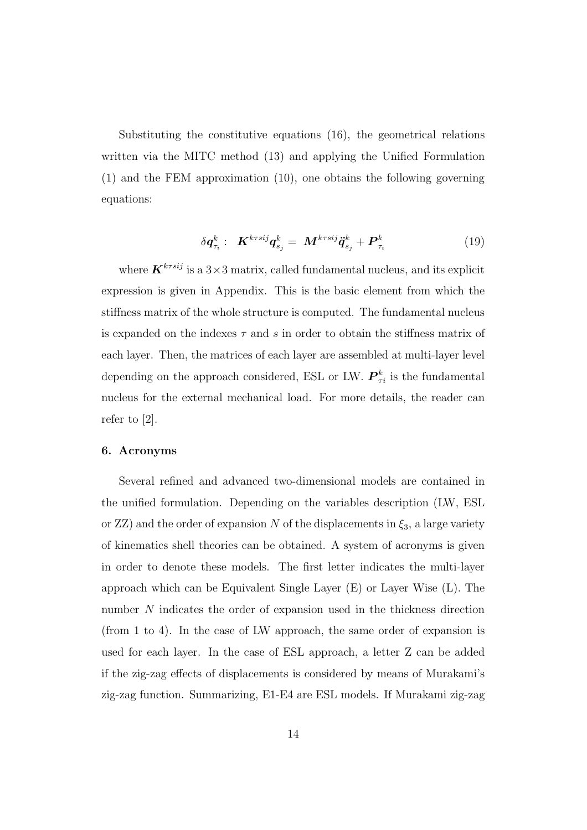Substituting the constitutive equations (16), the geometrical relations written via the MITC method (13) and applying the Unified Formulation (1) and the FEM approximation (10), one obtains the following governing equations:

$$
\delta \boldsymbol{q}_{\tau_i}^k: \boldsymbol{K}^{k\tau s i j} \boldsymbol{q}_{s_j}^k = \boldsymbol{M}^{k\tau s i j} \ddot{\boldsymbol{q}}_{s_j}^k + \boldsymbol{P}_{\tau_i}^k \tag{19}
$$

where  $\mathbf{K}^{k\tau s i j}$  is a  $3\times 3$  matrix, called fundamental nucleus, and its explicit expression is given in Appendix. This is the basic element from which the stiffness matrix of the whole structure is computed. The fundamental nucleus is expanded on the indexes  $\tau$  and s in order to obtain the stiffness matrix of each layer. Then, the matrices of each layer are assembled at multi-layer level depending on the approach considered, ESL or LW.  $\boldsymbol{P}_{\tau i}^k$  is the fundamental nucleus for the external mechanical load. For more details, the reader can refer to [2].

### 6. Acronyms

Several refined and advanced two-dimensional models are contained in the unified formulation. Depending on the variables description (LW, ESL or ZZ) and the order of expansion N of the displacements in  $\xi_3$ , a large variety of kinematics shell theories can be obtained. A system of acronyms is given in order to denote these models. The first letter indicates the multi-layer approach which can be Equivalent Single Layer (E) or Layer Wise (L). The number N indicates the order of expansion used in the thickness direction (from 1 to 4). In the case of LW approach, the same order of expansion is used for each layer. In the case of ESL approach, a letter Z can be added if the zig-zag effects of displacements is considered by means of Murakami's zig-zag function. Summarizing, E1-E4 are ESL models. If Murakami zig-zag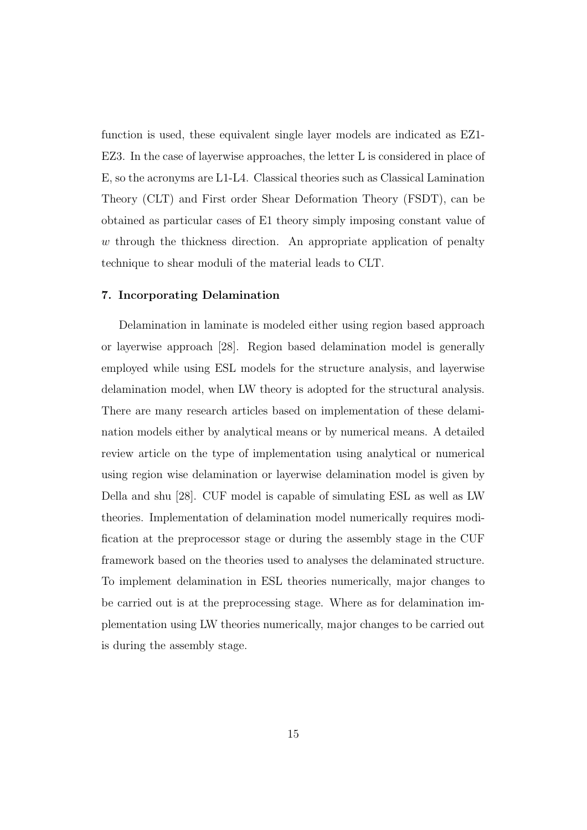function is used, these equivalent single layer models are indicated as EZ1- EZ3. In the case of layerwise approaches, the letter L is considered in place of E, so the acronyms are L1-L4. Classical theories such as Classical Lamination Theory (CLT) and First order Shear Deformation Theory (FSDT), can be obtained as particular cases of E1 theory simply imposing constant value of  $w$  through the thickness direction. An appropriate application of penalty technique to shear moduli of the material leads to CLT.

### 7. Incorporating Delamination

Delamination in laminate is modeled either using region based approach or layerwise approach [28]. Region based delamination model is generally employed while using ESL models for the structure analysis, and layerwise delamination model, when LW theory is adopted for the structural analysis. There are many research articles based on implementation of these delamination models either by analytical means or by numerical means. A detailed review article on the type of implementation using analytical or numerical using region wise delamination or layerwise delamination model is given by Della and shu [28]. CUF model is capable of simulating ESL as well as LW theories. Implementation of delamination model numerically requires modification at the preprocessor stage or during the assembly stage in the CUF framework based on the theories used to analyses the delaminated structure. To implement delamination in ESL theories numerically, major changes to be carried out is at the preprocessing stage. Where as for delamination implementation using LW theories numerically, major changes to be carried out is during the assembly stage.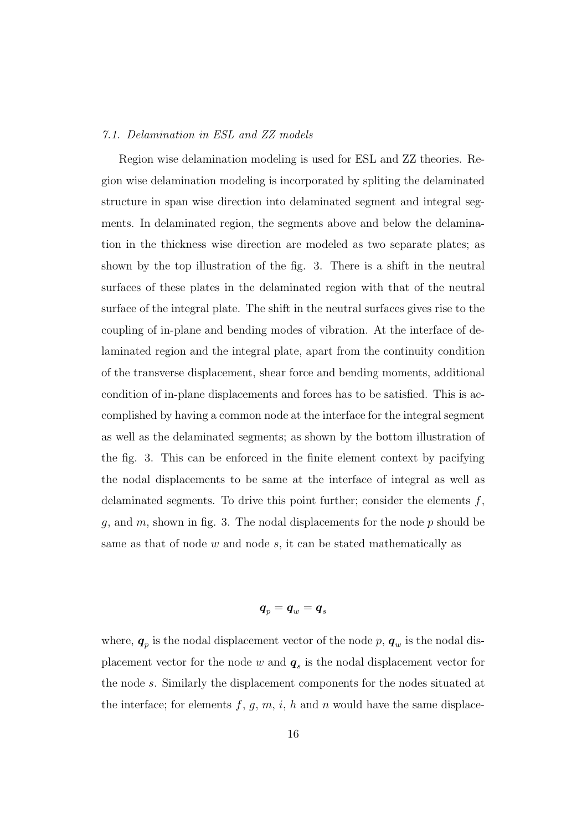### *7.1. Delamination in ESL and ZZ models*

Region wise delamination modeling is used for ESL and ZZ theories. Region wise delamination modeling is incorporated by spliting the delaminated structure in span wise direction into delaminated segment and integral segments. In delaminated region, the segments above and below the delamination in the thickness wise direction are modeled as two separate plates; as shown by the top illustration of the fig. 3. There is a shift in the neutral surfaces of these plates in the delaminated region with that of the neutral surface of the integral plate. The shift in the neutral surfaces gives rise to the coupling of in-plane and bending modes of vibration. At the interface of delaminated region and the integral plate, apart from the continuity condition of the transverse displacement, shear force and bending moments, additional condition of in-plane displacements and forces has to be satisfied. This is accomplished by having a common node at the interface for the integral segment as well as the delaminated segments; as shown by the bottom illustration of the fig. 3. This can be enforced in the finite element context by pacifying the nodal displacements to be same at the interface of integral as well as delaminated segments. To drive this point further; consider the elements  $f$ , g, and  $m$ , shown in fig. 3. The nodal displacements for the node  $p$  should be same as that of node  $w$  and node  $s$ , it can be stated mathematically as

### $\boldsymbol{q}_p = \boldsymbol{q}_w = \boldsymbol{q}_s$

where,  $q_p$  is the nodal displacement vector of the node p,  $q_w$  is the nodal displacement vector for the node  $w$  and  $q_s$  is the nodal displacement vector for the node s. Similarly the displacement components for the nodes situated at the interface; for elements  $f, g, m, i, h$  and n would have the same displace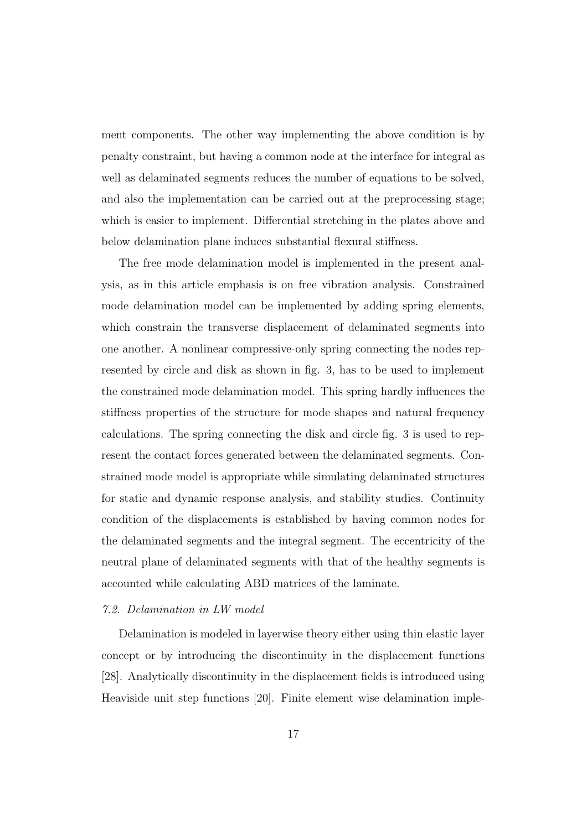ment components. The other way implementing the above condition is by penalty constraint, but having a common node at the interface for integral as well as delaminated segments reduces the number of equations to be solved, and also the implementation can be carried out at the preprocessing stage; which is easier to implement. Differential stretching in the plates above and below delamination plane induces substantial flexural stiffness.

The free mode delamination model is implemented in the present analysis, as in this article emphasis is on free vibration analysis. Constrained mode delamination model can be implemented by adding spring elements, which constrain the transverse displacement of delaminated segments into one another. A nonlinear compressive-only spring connecting the nodes represented by circle and disk as shown in fig. 3, has to be used to implement the constrained mode delamination model. This spring hardly influences the stiffness properties of the structure for mode shapes and natural frequency calculations. The spring connecting the disk and circle fig. 3 is used to represent the contact forces generated between the delaminated segments. Constrained mode model is appropriate while simulating delaminated structures for static and dynamic response analysis, and stability studies. Continuity condition of the displacements is established by having common nodes for the delaminated segments and the integral segment. The eccentricity of the neutral plane of delaminated segments with that of the healthy segments is accounted while calculating ABD matrices of the laminate.

### *7.2. Delamination in LW model*

Delamination is modeled in layerwise theory either using thin elastic layer concept or by introducing the discontinuity in the displacement functions [28]. Analytically discontinuity in the displacement fields is introduced using Heaviside unit step functions [20]. Finite element wise delamination imple-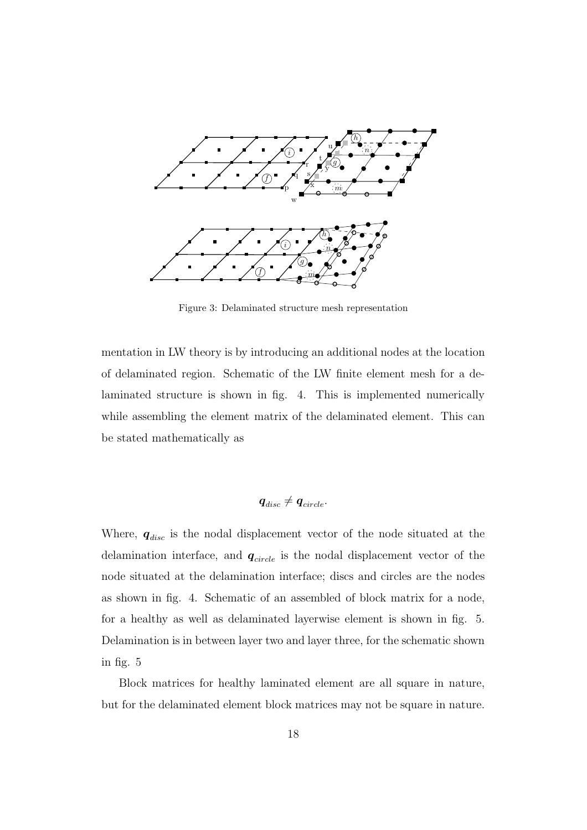

Figure 3: Delaminated structure mesh representation

mentation in LW theory is by introducing an additional nodes at the location of delaminated region. Schematic of the LW finite element mesh for a delaminated structure is shown in fig. 4. This is implemented numerically while assembling the element matrix of the delaminated element. This can be stated mathematically as

$$
\boldsymbol{q}_{disc}\neq \boldsymbol{q}_{circle}.
$$

Where,  $q_{disc}$  is the nodal displacement vector of the node situated at the delamination interface, and  $q_{circle}$  is the nodal displacement vector of the node situated at the delamination interface; discs and circles are the nodes as shown in fig. 4. Schematic of an assembled of block matrix for a node, for a healthy as well as delaminated layerwise element is shown in fig. 5. Delamination is in between layer two and layer three, for the schematic shown in fig. 5

Block matrices for healthy laminated element are all square in nature, but for the delaminated element block matrices may not be square in nature.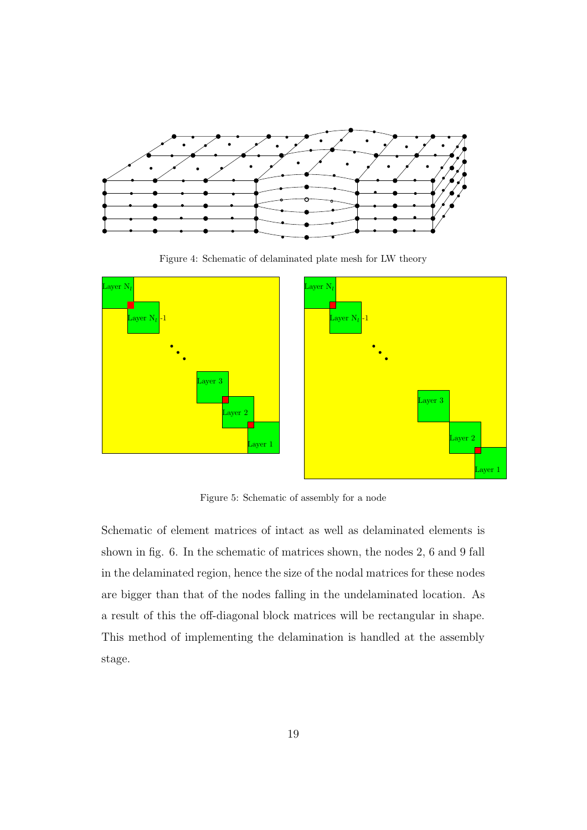

Figure 4: Schematic of delaminated plate mesh for LW theory



Figure 5: Schematic of assembly for a node

Schematic of element matrices of intact as well as delaminated elements is shown in fig. 6. In the schematic of matrices shown, the nodes 2, 6 and 9 fall in the delaminated region, hence the size of the nodal matrices for these nodes are bigger than that of the nodes falling in the undelaminated location. As a result of this the off-diagonal block matrices will be rectangular in shape. This method of implementing the delamination is handled at the assembly stage.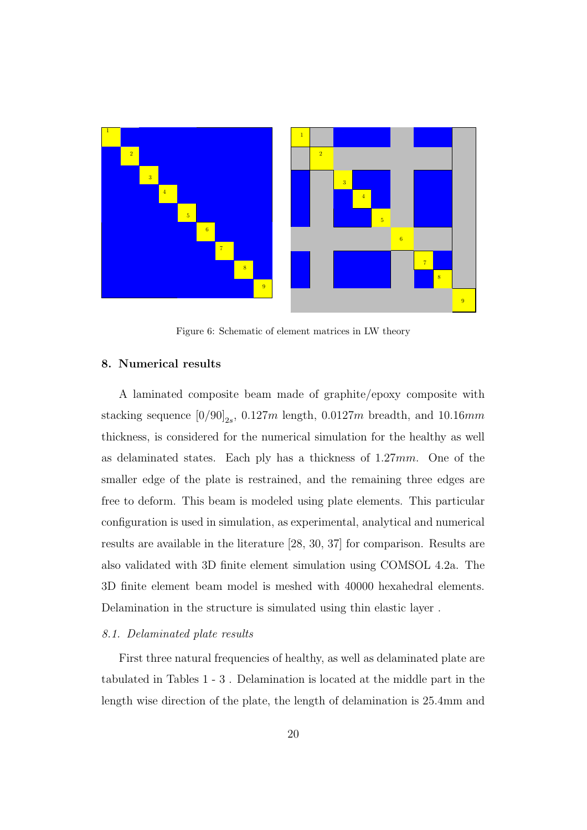

Figure 6: Schematic of element matrices in LW theory

### 8. Numerical results

A laminated composite beam made of graphite/epoxy composite with stacking sequence  $[0/90]_{2s}$ , 0.127m length, 0.0127m breadth, and 10.16mm thickness, is considered for the numerical simulation for the healthy as well as delaminated states. Each ply has a thickness of 1.27mm. One of the smaller edge of the plate is restrained, and the remaining three edges are free to deform. This beam is modeled using plate elements. This particular configuration is used in simulation, as experimental, analytical and numerical results are available in the literature [28, 30, 37] for comparison. Results are also validated with 3D finite element simulation using COMSOL 4.2a. The 3D finite element beam model is meshed with 40000 hexahedral elements. Delamination in the structure is simulated using thin elastic layer .

#### *8.1. Delaminated plate results*

First three natural frequencies of healthy, as well as delaminated plate are tabulated in Tables 1 - 3 . Delamination is located at the middle part in the length wise direction of the plate, the length of delamination is 25.4mm and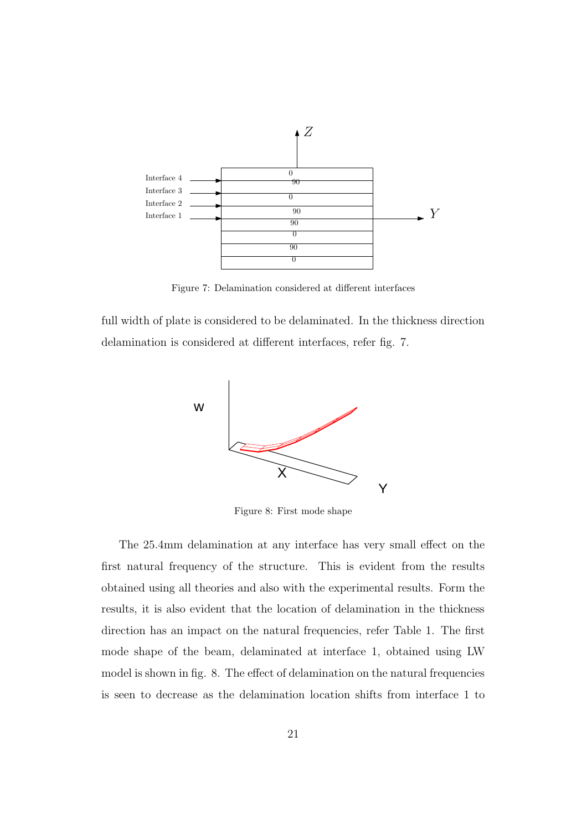

Figure 7: Delamination considered at different interfaces

full width of plate is considered to be delaminated. In the thickness direction delamination is considered at different interfaces, refer fig. 7.



Figure 8: First mode shape

The 25.4mm delamination at any interface has very small effect on the first natural frequency of the structure. This is evident from the results obtained using all theories and also with the experimental results. Form the results, it is also evident that the location of delamination in the thickness direction has an impact on the natural frequencies, refer Table 1. The first mode shape of the beam, delaminated at interface 1, obtained using LW model is shown in fig. 8. The effect of delamination on the natural frequencies is seen to decrease as the delamination location shifts from interface 1 to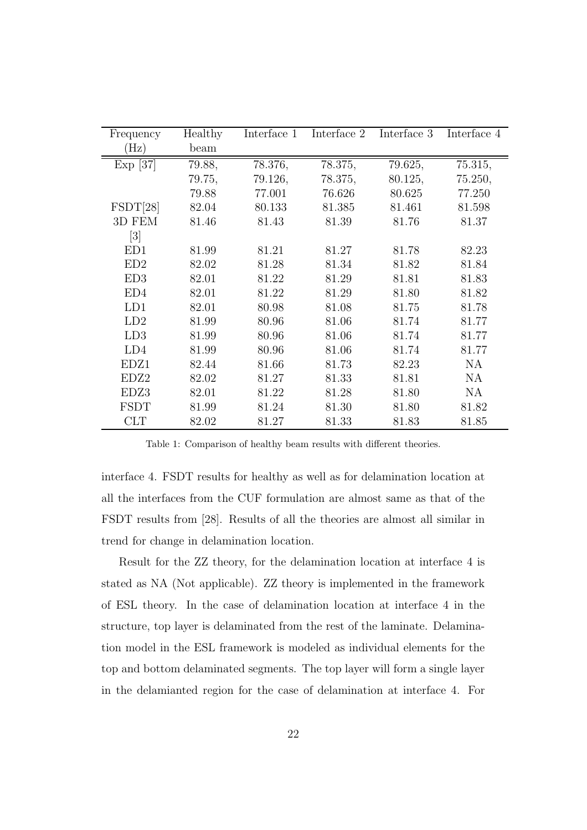| Frequency         | Healthy | Interface 1 | Interface 2 | Interface 3 | Interface 4 |
|-------------------|---------|-------------|-------------|-------------|-------------|
| $(\rm Hz)$        | beam    |             |             |             |             |
| Exp [37]          | 79.88,  | 78.376,     | 78.375,     | 79.625,     | 75.315,     |
|                   | 79.75,  | 79.126,     | 78.375,     | 80.125,     | 75.250,     |
|                   | 79.88   | 77.001      | 76.626      | 80.625      | 77.250      |
| $\text{FSDT}[28]$ | 82.04   | 80.133      | 81.385      | 81.461      | 81.598      |
| 3D FEM            | 81.46   | 81.43       | 81.39       | 81.76       | 81.37       |
| $\left[3\right]$  |         |             |             |             |             |
| ED1               | 81.99   | 81.21       | 81.27       | 81.78       | 82.23       |
| ED2               | 82.02   | 81.28       | 81.34       | 81.82       | 81.84       |
| ED3               | 82.01   | 81.22       | 81.29       | 81.81       | 81.83       |
| ED4               | 82.01   | 81.22       | 81.29       | 81.80       | 81.82       |
| LD1               | 82.01   | 80.98       | 81.08       | 81.75       | 81.78       |
| LD2               | 81.99   | 80.96       | 81.06       | 81.74       | 81.77       |
| LD3               | 81.99   | 80.96       | 81.06       | 81.74       | 81.77       |
| LD4               | 81.99   | 80.96       | 81.06       | 81.74       | 81.77       |
| EDZ1              | 82.44   | 81.66       | 81.73       | 82.23       | <b>NA</b>   |
| EDZ2              | 82.02   | 81.27       | 81.33       | 81.81       | <b>NA</b>   |
| EDZ3              | 82.01   | 81.22       | 81.28       | 81.80       | <b>NA</b>   |
| <b>FSDT</b>       | 81.99   | 81.24       | 81.30       | 81.80       | 81.82       |
| <b>CLT</b>        | 82.02   | 81.27       | 81.33       | 81.83       | 81.85       |

Table 1: Comparison of healthy beam results with different theories.

interface 4. FSDT results for healthy as well as for delamination location at all the interfaces from the CUF formulation are almost same as that of the FSDT results from [28]. Results of all the theories are almost all similar in trend for change in delamination location.

Result for the ZZ theory, for the delamination location at interface 4 is stated as NA (Not applicable). ZZ theory is implemented in the framework of ESL theory. In the case of delamination location at interface 4 in the structure, top layer is delaminated from the rest of the laminate. Delamination model in the ESL framework is modeled as individual elements for the top and bottom delaminated segments. The top layer will form a single layer in the delamianted region for the case of delamination at interface 4. For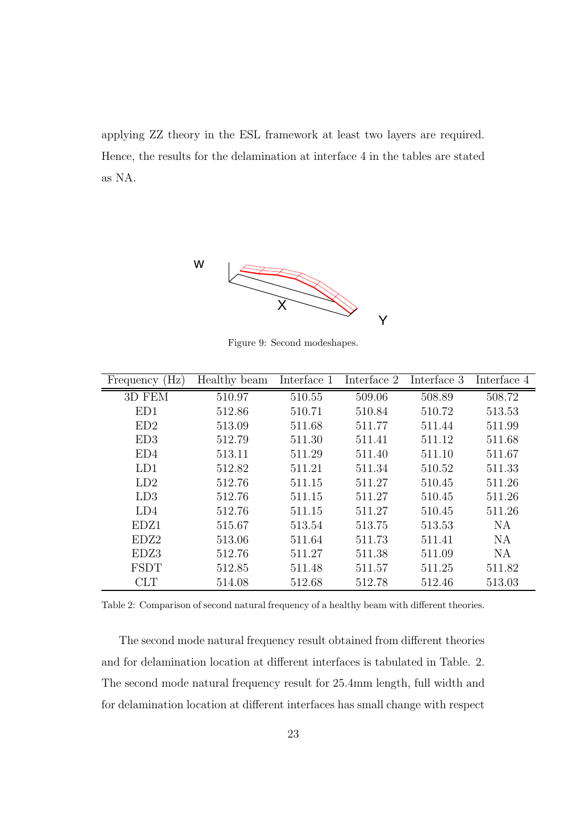applying ZZ theory in the ESL framework at least two layers are required. Hence, the results for the delamination at interface 4 in the tables are stated as NA.



Figure 9: Second modeshapes.

| $\rm(Hz)$<br>Frequency | Healthy beam | Interface 1 | Interface 2 | Interface 3 | Interface 4 |
|------------------------|--------------|-------------|-------------|-------------|-------------|
| 3D FEM                 | 510.97       | 510.55      | 509.06      | 508.89      | 508.72      |
| ED1                    | 512.86       | 510.71      | 510.84      | 510.72      | 513.53      |
| ED2                    | 513.09       | 511.68      | 511.77      | 511.44      | 511.99      |
| ED3                    | 512.79       | 511.30      | 511.41      | 511.12      | 511.68      |
| ED4                    | 513.11       | 511.29      | 511.40      | 511.10      | 511.67      |
| LD1                    | 512.82       | 511.21      | 511.34      | 510.52      | 511.33      |
| LD2                    | 512.76       | 511.15      | 511.27      | 510.45      | 511.26      |
| LD3                    | 512.76       | 511.15      | 511.27      | 510.45      | 511.26      |
| LD4                    | 512.76       | 511.15      | 511.27      | 510.45      | 511.26      |
| EDZ1                   | 515.67       | 513.54      | 513.75      | 513.53      | <b>NA</b>   |
| EDZ <sub>2</sub>       | 513.06       | 511.64      | 511.73      | 511.41      | <b>NA</b>   |
| EDZ3                   | 512.76       | 511.27      | 511.38      | 511.09      | <b>NA</b>   |
| <b>FSDT</b>            | 512.85       | 511.48      | 511.57      | 511.25      | 511.82      |
| <b>CLT</b>             | 514.08       | 512.68      | 512.78      | 512.46      | 513.03      |

Table 2: Comparison of second natural frequency of a healthy beam with different theories.

The second mode natural frequency result obtained from different theories and for delamination location at different interfaces is tabulated in Table. 2. The second mode natural frequency result for 25.4mm length, full width and for delamination location at different interfaces has small change with respect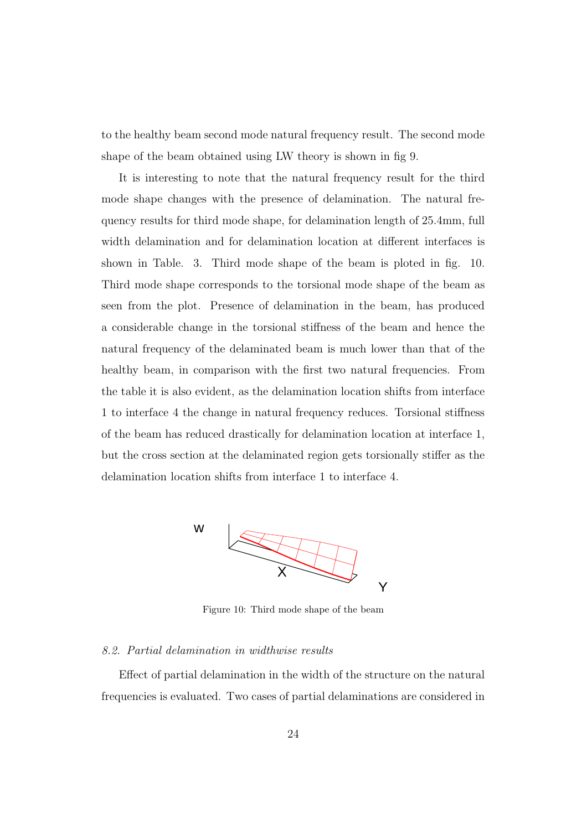to the healthy beam second mode natural frequency result. The second mode shape of the beam obtained using LW theory is shown in fig 9.

It is interesting to note that the natural frequency result for the third mode shape changes with the presence of delamination. The natural frequency results for third mode shape, for delamination length of 25.4mm, full width delamination and for delamination location at different interfaces is shown in Table. 3. Third mode shape of the beam is ploted in fig. 10. Third mode shape corresponds to the torsional mode shape of the beam as seen from the plot. Presence of delamination in the beam, has produced a considerable change in the torsional stiffness of the beam and hence the natural frequency of the delaminated beam is much lower than that of the healthy beam, in comparison with the first two natural frequencies. From the table it is also evident, as the delamination location shifts from interface 1 to interface 4 the change in natural frequency reduces. Torsional stiffness of the beam has reduced drastically for delamination location at interface 1, but the cross section at the delaminated region gets torsionally stiffer as the delamination location shifts from interface 1 to interface 4.



Figure 10: Third mode shape of the beam

### *8.2. Partial delamination in widthwise results*

Effect of partial delamination in the width of the structure on the natural frequencies is evaluated. Two cases of partial delaminations are considered in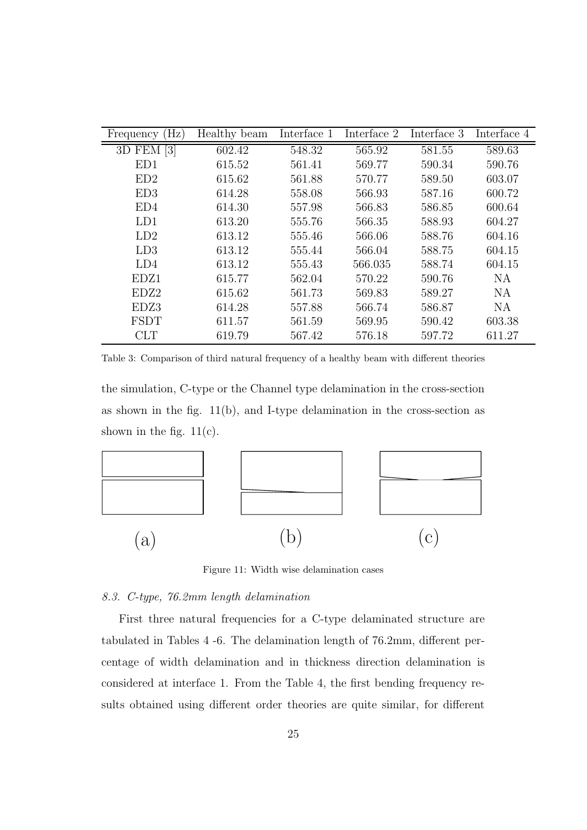| $(\mathrm{Hz})$<br>Frequency | Healthy beam | Interface 1 | $\overline{\text{Interface}}$ 2 | Interface 3 | Interface 4 |
|------------------------------|--------------|-------------|---------------------------------|-------------|-------------|
| 3D FEM [3]                   | 602.42       | 548.32      | 565.92                          | 581.55      | 589.63      |
| ED1                          | 615.52       | 561.41      | 569.77                          | 590.34      | 590.76      |
| ED2                          | 615.62       | 561.88      | 570.77                          | 589.50      | 603.07      |
| ED3                          | 614.28       | 558.08      | 566.93                          | 587.16      | 600.72      |
| ED4                          | 614.30       | 557.98      | 566.83                          | 586.85      | 600.64      |
| LD1                          | 613.20       | 555.76      | 566.35                          | 588.93      | 604.27      |
| LD2                          | 613.12       | 555.46      | 566.06                          | 588.76      | 604.16      |
| LD3                          | 613.12       | 555.44      | 566.04                          | 588.75      | 604.15      |
| LD4                          | 613.12       | 555.43      | 566.035                         | 588.74      | 604.15      |
| EDZ1                         | 615.77       | 562.04      | 570.22                          | 590.76      | <b>NA</b>   |
| EDZ2                         | 615.62       | 561.73      | 569.83                          | 589.27      | <b>NA</b>   |
| EDZ3                         | 614.28       | 557.88      | 566.74                          | 586.87      | NA          |
| <b>FSDT</b>                  | 611.57       | 561.59      | 569.95                          | 590.42      | 603.38      |
| <b>CLT</b>                   | 619.79       | 567.42      | 576.18                          | 597.72      | 611.27      |

Table 3: Comparison of third natural frequency of a healthy beam with different theories

the simulation, C-type or the Channel type delamination in the cross-section as shown in the fig.  $11(b)$ , and I-type delamination in the cross-section as shown in the fig.  $11(c)$ .



Figure 11: Width wise delamination cases

### *8.3. C-type, 76.2mm length delamination*

First three natural frequencies for a C-type delaminated structure are tabulated in Tables 4 -6. The delamination length of 76.2mm, different percentage of width delamination and in thickness direction delamination is considered at interface 1. From the Table 4, the first bending frequency results obtained using different order theories are quite similar, for different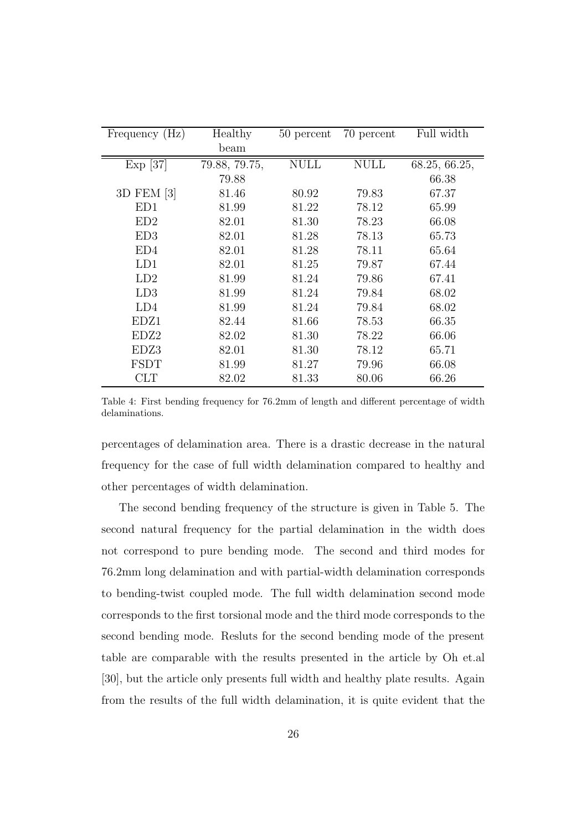| Frequency (Hz) | Healthy       | 50 percent | 70 percent  | Full width    |
|----------------|---------------|------------|-------------|---------------|
|                | beam          |            |             |               |
| $Exp$ [37]     | 79.88, 79.75, | NULL       | <b>NULL</b> | 68.25, 66.25, |
|                | 79.88         |            |             | 66.38         |
| 3D FEM [3]     | 81.46         | 80.92      | 79.83       | 67.37         |
| ED1            | 81.99         | 81.22      | 78.12       | 65.99         |
| ED2            | 82.01         | 81.30      | 78.23       | 66.08         |
| ED3            | 82.01         | 81.28      | 78.13       | 65.73         |
| ED4            | 82.01         | 81.28      | 78.11       | 65.64         |
| LD1            | 82.01         | 81.25      | 79.87       | 67.44         |
| LD2            | 81.99         | 81.24      | 79.86       | 67.41         |
| LD3            | 81.99         | 81.24      | 79.84       | 68.02         |
| LD4            | 81.99         | 81.24      | 79.84       | 68.02         |
| EDZ1           | 82.44         | 81.66      | 78.53       | 66.35         |
| EDZ2           | 82.02         | 81.30      | 78.22       | 66.06         |
| EDZ3           | 82.01         | 81.30      | 78.12       | 65.71         |
| <b>FSDT</b>    | 81.99         | 81.27      | 79.96       | 66.08         |
| CLT            | 82.02         | 81.33      | 80.06       | 66.26         |

Table 4: First bending frequency for 76.2mm of length and different percentage of width delaminations.

percentages of delamination area. There is a drastic decrease in the natural frequency for the case of full width delamination compared to healthy and other percentages of width delamination.

The second bending frequency of the structure is given in Table 5. The second natural frequency for the partial delamination in the width does not correspond to pure bending mode. The second and third modes for 76.2mm long delamination and with partial-width delamination corresponds to bending-twist coupled mode. The full width delamination second mode corresponds to the first torsional mode and the third mode corresponds to the second bending mode. Resluts for the second bending mode of the present table are comparable with the results presented in the article by Oh et.al [30], but the article only presents full width and healthy plate results. Again from the results of the full width delamination, it is quite evident that the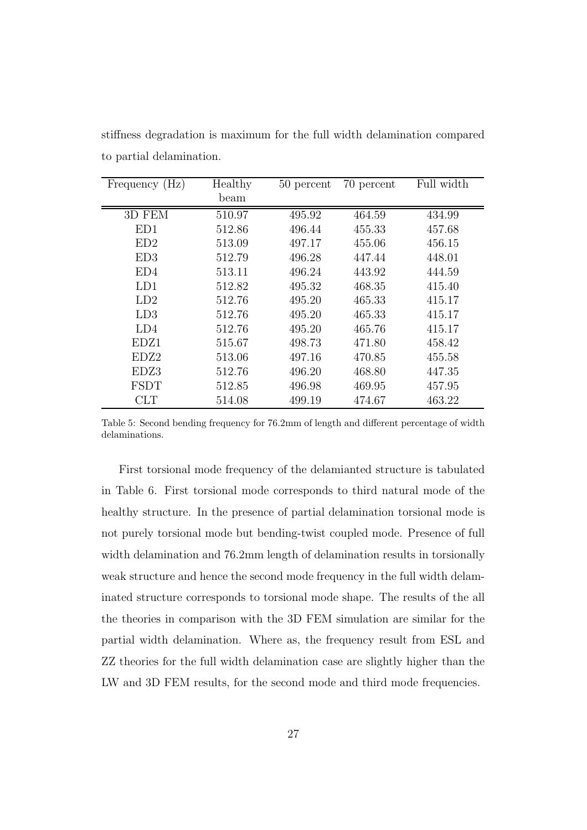| Frequency (Hz) | Healthy | 50 percent | 70 percent | Full width |
|----------------|---------|------------|------------|------------|
|                | beam    |            |            |            |
| 3D FEM         | 510.97  | 495.92     | 464.59     | 434.99     |
| ED1            | 512.86  | 496.44     | 455.33     | 457.68     |
| ED2            | 513.09  | 497.17     | 455.06     | 456.15     |
| ED3            | 512.79  | 496.28     | 447.44     | 448.01     |
| ED4            | 513.11  | 496.24     | 443.92     | 444.59     |
| LD1            | 512.82  | 495.32     | 468.35     | 415.40     |
| LD2            | 512.76  | 495.20     | 465.33     | 415.17     |
| LD3            | 512.76  | 495.20     | 465.33     | 415.17     |
| LD4            | 512.76  | 495.20     | 465.76     | 415.17     |
| EDZ1           | 515.67  | 498.73     | 471.80     | 458.42     |
| EDZ2           | 513.06  | 497.16     | 470.85     | 455.58     |
| EDZ3           | 512.76  | 496.20     | 468.80     | 447.35     |
| <b>FSDT</b>    | 512.85  | 496.98     | 469.95     | 457.95     |
| $\rm CLT$      | 514.08  | 499.19     | 474.67     | 463.22     |

stiffness degradation is maximum for the full width delamination compared to partial delamination.

Table 5: Second bending frequency for 76.2mm of length and different percentage of width delaminations.

First torsional mode frequency of the delamianted structure is tabulated in Table 6. First torsional mode corresponds to third natural mode of the healthy structure. In the presence of partial delamination torsional mode is not purely torsional mode but bending-twist coupled mode. Presence of full width delamination and 76.2mm length of delamination results in torsionally weak structure and hence the second mode frequency in the full width delaminated structure corresponds to torsional mode shape. The results of the all the theories in comparison with the 3D FEM simulation are similar for the partial width delamination. Where as, the frequency result from ESL and ZZ theories for the full width delamination case are slightly higher than the LW and 3D FEM results, for the second mode and third mode frequencies.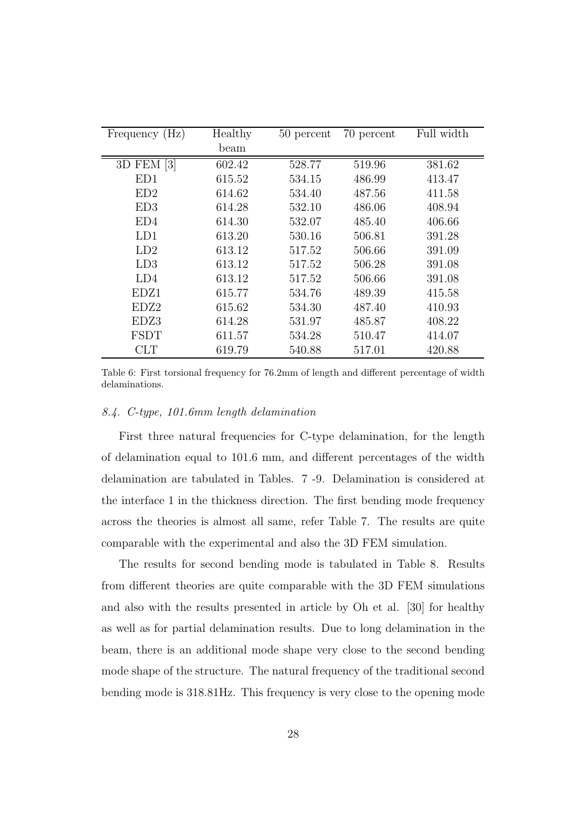| Frequency (Hz) | Healthy | 50 percent | 70 percent | Full width |
|----------------|---------|------------|------------|------------|
|                | beam    |            |            |            |
| 3D FEM [3]     | 602.42  | 528.77     | 519.96     | 381.62     |
| ED1            | 615.52  | 534.15     | 486.99     | 413.47     |
| ED2            | 614.62  | 534.40     | 487.56     | 411.58     |
| ED3            | 614.28  | 532.10     | 486.06     | 408.94     |
| ED4            | 614.30  | 532.07     | 485.40     | 406.66     |
| LD1            | 613.20  | 530.16     | 506.81     | 391.28     |
| LD2            | 613.12  | 517.52     | 506.66     | 391.09     |
| LD3            | 613.12  | 517.52     | 506.28     | 391.08     |
| LD4            | 613.12  | 517.52     | 506.66     | 391.08     |
| EDZ1           | 615.77  | 534.76     | 489.39     | 415.58     |
| EDZ2           | 615.62  | 534.30     | 487.40     | 410.93     |
| EDZ3           | 614.28  | 531.97     | 485.87     | 408.22     |
| <b>FSDT</b>    | 611.57  | 534.28     | 510.47     | 414.07     |
| <b>CLT</b>     | 619.79  | 540.88     | 517.01     | 420.88     |

Table 6: First torsional frequency for 76.2mm of length and different percentage of width delaminations.

### *8.4. C-type, 101.6mm length delamination*

First three natural frequencies for C-type delamination, for the length of delamination equal to 101.6 mm, and different percentages of the width delamination are tabulated in Tables. 7 -9. Delamination is considered at the interface 1 in the thickness direction. The first bending mode frequency across the theories is almost all same, refer Table 7. The results are quite comparable with the experimental and also the 3D FEM simulation.

The results for second bending mode is tabulated in Table 8. Results from different theories are quite comparable with the 3D FEM simulations and also with the results presented in article by Oh et al. [30] for healthy as well as for partial delamination results. Due to long delamination in the beam, there is an additional mode shape very close to the second bending mode shape of the structure. The natural frequency of the traditional second bending mode is 318.81Hz. This frequency is very close to the opening mode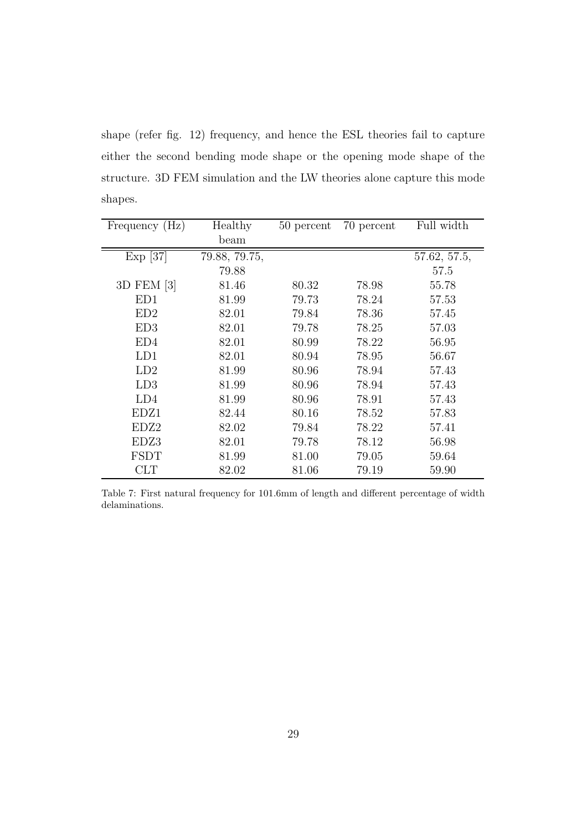shape (refer fig. 12) frequency, and hence the ESL theories fail to capture either the second bending mode shape or the opening mode shape of the structure. 3D FEM simulation and the LW theories alone capture this mode shapes.

| Frequency (Hz)   | Healthy       | 50 percent | 70 percent | Full width   |
|------------------|---------------|------------|------------|--------------|
|                  | beam          |            |            |              |
| $Exp$ [37]       | 79.88, 79.75, |            |            | 57.62, 57.5, |
|                  | 79.88         |            |            | 57.5         |
| 3D FEM [3]       | 81.46         | 80.32      | 78.98      | 55.78        |
| ED1              | 81.99         | 79.73      | 78.24      | 57.53        |
| ED2              | 82.01         | 79.84      | 78.36      | 57.45        |
| ED3              | 82.01         | 79.78      | 78.25      | 57.03        |
| ED4              | 82.01         | 80.99      | 78.22      | 56.95        |
| LD1              | 82.01         | 80.94      | 78.95      | 56.67        |
| LD2              | 81.99         | 80.96      | 78.94      | 57.43        |
| LD3              | 81.99         | 80.96      | 78.94      | 57.43        |
| LD4              | 81.99         | 80.96      | 78.91      | 57.43        |
| EDZ1             | 82.44         | 80.16      | 78.52      | 57.83        |
| EDZ <sub>2</sub> | 82.02         | 79.84      | 78.22      | 57.41        |
| EDZ3             | 82.01         | 79.78      | 78.12      | 56.98        |
| FSDT             | 81.99         | 81.00      | 79.05      | 59.64        |
| CLT              | 82.02         | 81.06      | 79.19      | 59.90        |

Table 7: First natural frequency for 101.6mm of length and different percentage of width delaminations.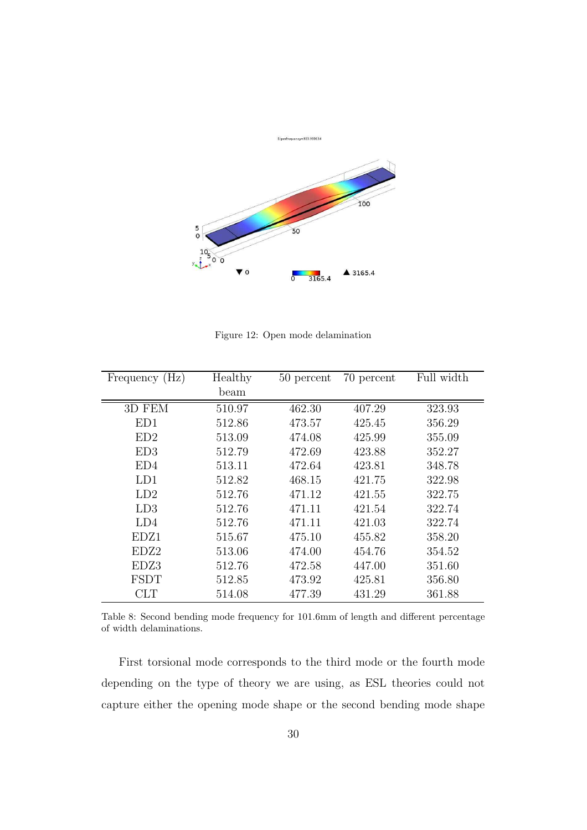

Figure 12: Open mode delamination

| Frequency (Hz)   | Healthy | 50 percent | 70 percent | Full width |
|------------------|---------|------------|------------|------------|
|                  | beam    |            |            |            |
| 3D FEM           | 510.97  | 462.30     | 407.29     | 323.93     |
| ED1              | 512.86  | 473.57     | 425.45     | 356.29     |
| ED2              | 513.09  | 474.08     | 425.99     | 355.09     |
| ED3              | 512.79  | 472.69     | 423.88     | 352.27     |
| ED4              | 513.11  | 472.64     | 423.81     | 348.78     |
| LD1              | 512.82  | 468.15     | 421.75     | 322.98     |
| LD2              | 512.76  | 471.12     | 421.55     | 322.75     |
| LD3              | 512.76  | 471.11     | 421.54     | 322.74     |
| LD4              | 512.76  | 471.11     | 421.03     | 322.74     |
| EDZ1             | 515.67  | 475.10     | 455.82     | 358.20     |
| EDZ <sub>2</sub> | 513.06  | 474.00     | 454.76     | 354.52     |
| EDZ3             | 512.76  | 472.58     | 447.00     | 351.60     |
| <b>FSDT</b>      | 512.85  | 473.92     | 425.81     | 356.80     |
| <b>CLT</b>       | 514.08  | 477.39     | 431.29     | 361.88     |

Table 8: Second bending mode frequency for 101.6mm of length and different percentage of width delaminations.

First torsional mode corresponds to the third mode or the fourth mode depending on the type of theory we are using, as ESL theories could not capture either the opening mode shape or the second bending mode shape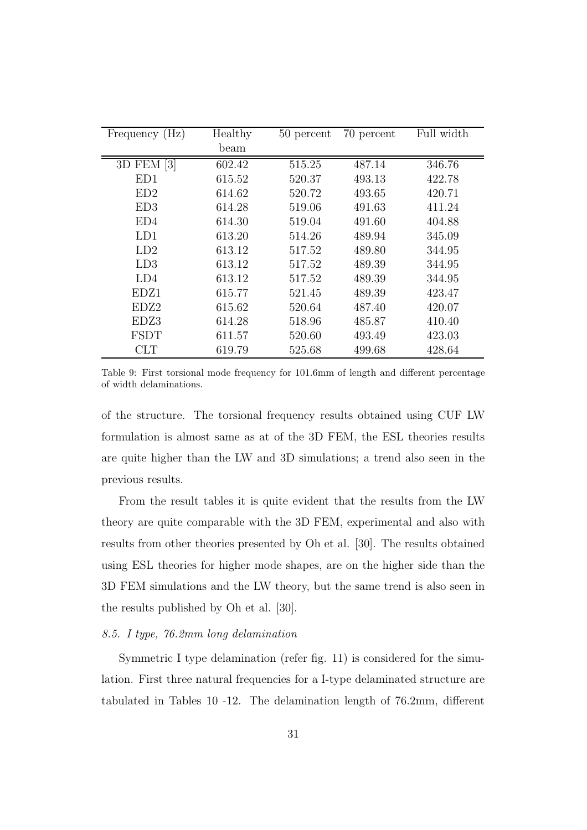| Frequency (Hz) | Healthy | 50 percent | 70 percent | Full width |
|----------------|---------|------------|------------|------------|
|                | beam    |            |            |            |
| 3D FEM [3]     | 602.42  | 515.25     | 487.14     | 346.76     |
| ED1            | 615.52  | 520.37     | 493.13     | 422.78     |
| ED2            | 614.62  | 520.72     | 493.65     | 420.71     |
| ED3            | 614.28  | 519.06     | 491.63     | 411.24     |
| ED4            | 614.30  | 519.04     | 491.60     | 404.88     |
| LD1            | 613.20  | 514.26     | 489.94     | 345.09     |
| LD2            | 613.12  | 517.52     | 489.80     | 344.95     |
| LD3            | 613.12  | 517.52     | 489.39     | 344.95     |
| LD4            | 613.12  | 517.52     | 489.39     | 344.95     |
| EDZ1           | 615.77  | 521.45     | 489.39     | 423.47     |
| EDZ2           | 615.62  | 520.64     | 487.40     | 420.07     |
| EDZ3           | 614.28  | 518.96     | 485.87     | 410.40     |
| <b>FSDT</b>    | 611.57  | 520.60     | 493.49     | 423.03     |
| <b>CLT</b>     | 619.79  | 525.68     | 499.68     | 428.64     |

Table 9: First torsional mode frequency for 101.6mm of length and different percentage of width delaminations.

of the structure. The torsional frequency results obtained using CUF LW formulation is almost same as at of the 3D FEM, the ESL theories results are quite higher than the LW and 3D simulations; a trend also seen in the previous results.

From the result tables it is quite evident that the results from the LW theory are quite comparable with the 3D FEM, experimental and also with results from other theories presented by Oh et al. [30]. The results obtained using ESL theories for higher mode shapes, are on the higher side than the 3D FEM simulations and the LW theory, but the same trend is also seen in the results published by Oh et al. [30].

### *8.5. I type, 76.2mm long delamination*

Symmetric I type delamination (refer fig. 11) is considered for the simulation. First three natural frequencies for a I-type delaminated structure are tabulated in Tables 10 -12. The delamination length of 76.2mm, different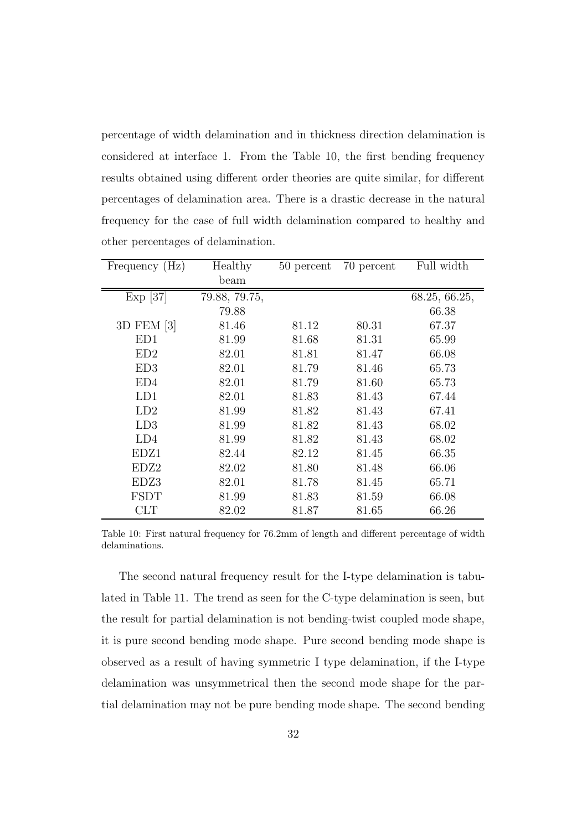percentage of width delamination and in thickness direction delamination is considered at interface 1. From the Table 10, the first bending frequency results obtained using different order theories are quite similar, for different percentages of delamination area. There is a drastic decrease in the natural frequency for the case of full width delamination compared to healthy and other percentages of delamination.

| Frequency (Hz) | Healthy       | 50 percent | 70 percent | Full width    |
|----------------|---------------|------------|------------|---------------|
|                | beam          |            |            |               |
| $Exp$ [37]     | 79.88, 79.75, |            |            | 68.25, 66.25, |
|                | 79.88         |            |            | 66.38         |
| 3D FEM [3]     | 81.46         | 81.12      | 80.31      | 67.37         |
| ED1            | 81.99         | 81.68      | 81.31      | 65.99         |
| ED2            | 82.01         | 81.81      | 81.47      | 66.08         |
| ED3            | 82.01         | 81.79      | 81.46      | 65.73         |
| ED4            | 82.01         | 81.79      | 81.60      | 65.73         |
| LD1            | 82.01         | 81.83      | 81.43      | 67.44         |
| LD2            | 81.99         | 81.82      | 81.43      | 67.41         |
| LD3            | 81.99         | 81.82      | 81.43      | 68.02         |
| LD4            | 81.99         | 81.82      | 81.43      | 68.02         |
| EDZ1           | 82.44         | 82.12      | 81.45      | 66.35         |
| EDZ2           | 82.02         | 81.80      | 81.48      | 66.06         |
| EDZ3           | 82.01         | 81.78      | 81.45      | 65.71         |
| FSDT           | 81.99         | 81.83      | 81.59      | 66.08         |
| CLT            | 82.02         | 81.87      | 81.65      | 66.26         |

Table 10: First natural frequency for 76.2mm of length and different percentage of width delaminations.

The second natural frequency result for the I-type delamination is tabulated in Table 11. The trend as seen for the C-type delamination is seen, but the result for partial delamination is not bending-twist coupled mode shape, it is pure second bending mode shape. Pure second bending mode shape is observed as a result of having symmetric I type delamination, if the I-type delamination was unsymmetrical then the second mode shape for the partial delamination may not be pure bending mode shape. The second bending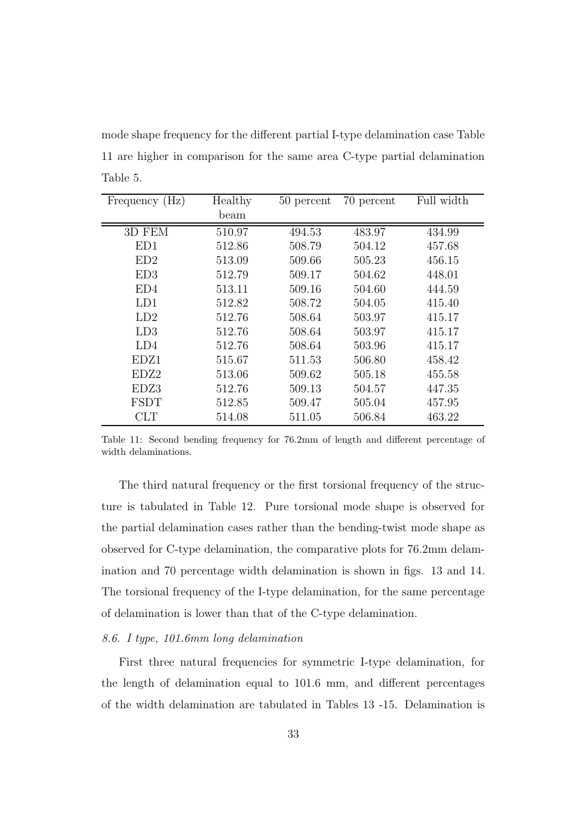mode shape frequency for the different partial I-type delamination case Table 11 are higher in comparison for the same area C-type partial delamination Table 5.

| Frequency (Hz) | Healthy | 50 percent | 70 percent | Full width |
|----------------|---------|------------|------------|------------|
|                | beam    |            |            |            |
| 3D FEM         | 510.97  | 494.53     | 483.97     | 434.99     |
| ED1            | 512.86  | 508.79     | 504.12     | 457.68     |
| ED2            | 513.09  | 509.66     | 505.23     | 456.15     |
| ED3            | 512.79  | 509.17     | 504.62     | 448.01     |
| ED4            | 513.11  | 509.16     | 504.60     | 444.59     |
| LD1            | 512.82  | 508.72     | 504.05     | 415.40     |
| LD2            | 512.76  | 508.64     | 503.97     | 415.17     |
| LD3            | 512.76  | 508.64     | 503.97     | 415.17     |
| LD4            | 512.76  | 508.64     | 503.96     | 415.17     |
| EDZ1           | 515.67  | 511.53     | 506.80     | 458.42     |
| EDZ2           | 513.06  | 509.62     | 505.18     | 455.58     |
| EDZ3           | 512.76  | 509.13     | 504.57     | 447.35     |
| <b>FSDT</b>    | 512.85  | 509.47     | 505.04     | 457.95     |
| CLT            | 514.08  | 511.05     | 506.84     | 463.22     |

Table 11: Second bending frequency for 76.2mm of length and different percentage of width delaminations.

The third natural frequency or the first torsional frequency of the structure is tabulated in Table 12. Pure torsional mode shape is observed for the partial delamination cases rather than the bending-twist mode shape as observed for C-type delamination, the comparative plots for 76.2mm delamination and 70 percentage width delamination is shown in figs. 13 and 14. The torsional frequency of the I-type delamination, for the same percentage of delamination is lower than that of the C-type delamination.

### *8.6. I type, 101.6mm long delamination*

First three natural frequencies for symmetric I-type delamination, for the length of delamination equal to 101.6 mm, and different percentages of the width delamination are tabulated in Tables 13 -15. Delamination is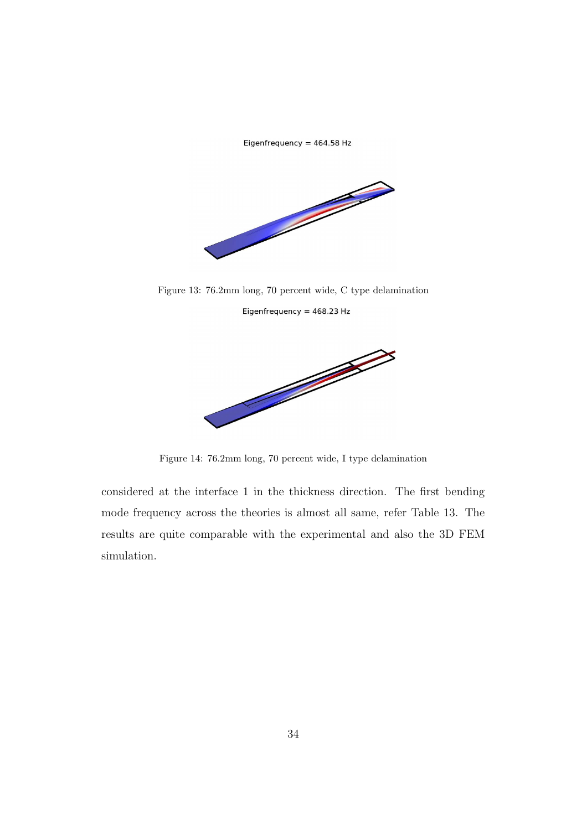Eigenfrequency = 464.58 Hz



Figure 13: 76.2mm long, 70 percent wide, C type delamination Eigenfrequency =  $468.23$  Hz



Figure 14: 76.2mm long, 70 percent wide, I type delamination

considered at the interface 1 in the thickness direction. The first bending mode frequency across the theories is almost all same, refer Table 13. The results are quite comparable with the experimental and also the 3D FEM simulation.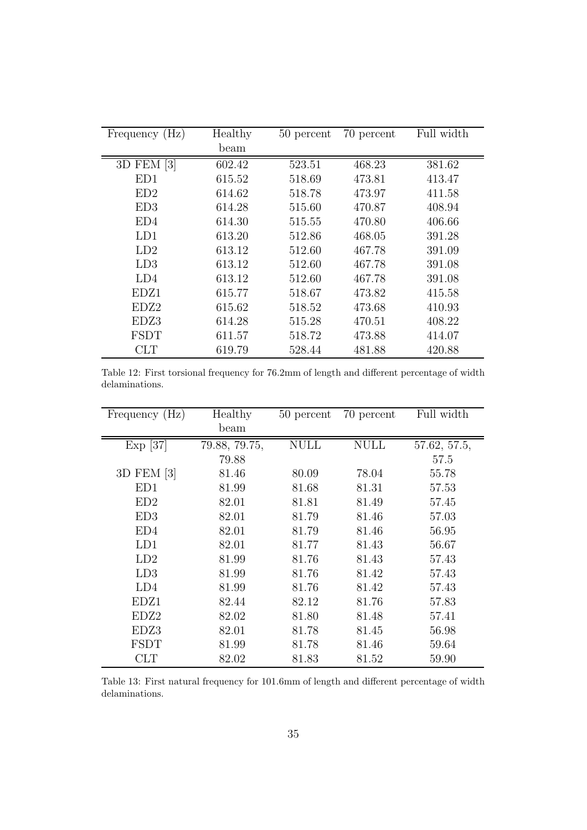| Frequency (Hz)   | Healthy | 50 percent | 70 percent | Full width |
|------------------|---------|------------|------------|------------|
|                  | beam    |            |            |            |
| 3D FEM [3]       | 602.42  | 523.51     | 468.23     | 381.62     |
| ED1              | 615.52  | 518.69     | 473.81     | 413.47     |
| ED2              | 614.62  | 518.78     | 473.97     | 411.58     |
| ED3              | 614.28  | 515.60     | 470.87     | 408.94     |
| ED4              | 614.30  | 515.55     | 470.80     | 406.66     |
| LD1              | 613.20  | 512.86     | 468.05     | 391.28     |
| LD2              | 613.12  | 512.60     | 467.78     | 391.09     |
| LD3              | 613.12  | 512.60     | 467.78     | 391.08     |
| LD4              | 613.12  | 512.60     | 467.78     | 391.08     |
| EDZ1             | 615.77  | 518.67     | 473.82     | 415.58     |
| EDZ <sub>2</sub> | 615.62  | 518.52     | 473.68     | 410.93     |
| EDZ3             | 614.28  | 515.28     | 470.51     | 408.22     |
| <b>FSDT</b>      | 611.57  | 518.72     | 473.88     | 414.07     |
| CLT              | 619.79  | 528.44     | 481.88     | 420.88     |

Table 12: First torsional frequency for 76.2mm of length and different percentage of width delaminations.

| Frequency (Hz) | Healthy       | 50 percent  | 70 percent  | Full width   |
|----------------|---------------|-------------|-------------|--------------|
|                | beam          |             |             |              |
| $Exp$ [37]     | 79.88, 79.75, | <b>NULL</b> | <b>NULL</b> | 57.62, 57.5, |
|                | 79.88         |             |             | 57.5         |
| 3D FEM [3]     | 81.46         | 80.09       | 78.04       | 55.78        |
| ED1            | 81.99         | 81.68       | 81.31       | 57.53        |
| ED2            | 82.01         | 81.81       | 81.49       | 57.45        |
| ED3            | 82.01         | 81.79       | 81.46       | 57.03        |
| ED4            | 82.01         | 81.79       | 81.46       | 56.95        |
| LD1            | 82.01         | 81.77       | 81.43       | 56.67        |
| LD2            | 81.99         | 81.76       | 81.43       | 57.43        |
| LD3            | 81.99         | 81.76       | 81.42       | 57.43        |
| LD4            | 81.99         | 81.76       | 81.42       | 57.43        |
| EDZ1           | 82.44         | 82.12       | 81.76       | 57.83        |
| EDZ2           | 82.02         | 81.80       | 81.48       | 57.41        |
| EDZ3           | 82.01         | 81.78       | 81.45       | 56.98        |
| <b>FSDT</b>    | 81.99         | 81.78       | 81.46       | 59.64        |
| CLT            | 82.02         | 81.83       | 81.52       | 59.90        |

Table 13: First natural frequency for 101.6mm of length and different percentage of width delaminations.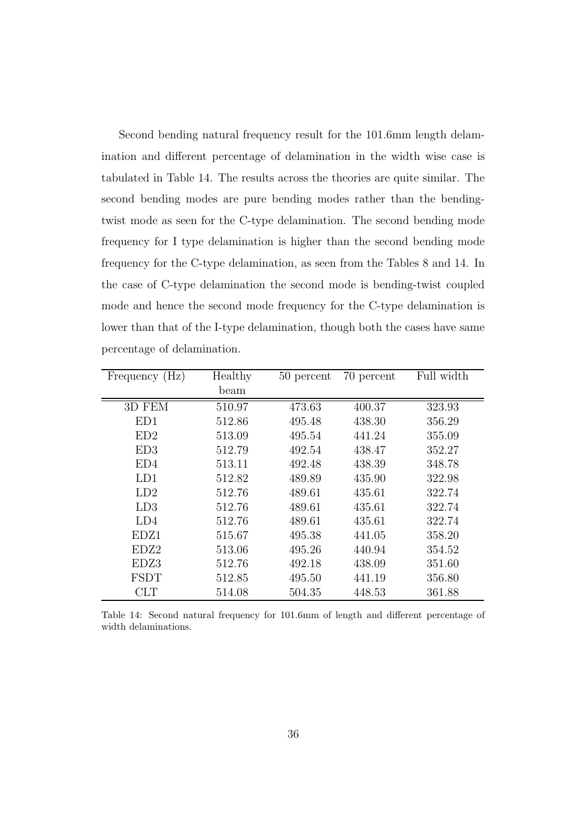Second bending natural frequency result for the 101.6mm length delamination and different percentage of delamination in the width wise case is tabulated in Table 14. The results across the theories are quite similar. The second bending modes are pure bending modes rather than the bendingtwist mode as seen for the C-type delamination. The second bending mode frequency for I type delamination is higher than the second bending mode frequency for the C-type delamination, as seen from the Tables 8 and 14. In the case of C-type delamination the second mode is bending-twist coupled mode and hence the second mode frequency for the C-type delamination is lower than that of the I-type delamination, though both the cases have same percentage of delamination.

| Frequency (Hz)  | Healthy | 50 percent | 70 percent | Full width |
|-----------------|---------|------------|------------|------------|
|                 | beam    |            |            |            |
| 3D FEM          | 510.97  | 473.63     | 400.37     | 323.93     |
| ED1             | 512.86  | 495.48     | 438.30     | 356.29     |
| ED <sub>2</sub> | 513.09  | 495.54     | 441.24     | 355.09     |
| ED3             | 512.79  | 492.54     | 438.47     | 352.27     |
| ED4             | 513.11  | 492.48     | 438.39     | 348.78     |
| LD1             | 512.82  | 489.89     | 435.90     | 322.98     |
| LD2             | 512.76  | 489.61     | 435.61     | 322.74     |
| LD3             | 512.76  | 489.61     | 435.61     | 322.74     |
| LD4             | 512.76  | 489.61     | 435.61     | 322.74     |
| EDZ1            | 515.67  | 495.38     | 441.05     | 358.20     |
| EDZ2            | 513.06  | 495.26     | 440.94     | 354.52     |
| EDZ3            | 512.76  | 492.18     | 438.09     | 351.60     |
| <b>FSDT</b>     | 512.85  | 495.50     | 441.19     | 356.80     |
| <b>CLT</b>      | 514.08  | 504.35     | 448.53     | 361.88     |

Table 14: Second natural frequency for 101.6mm of length and different percentage of width delaminations.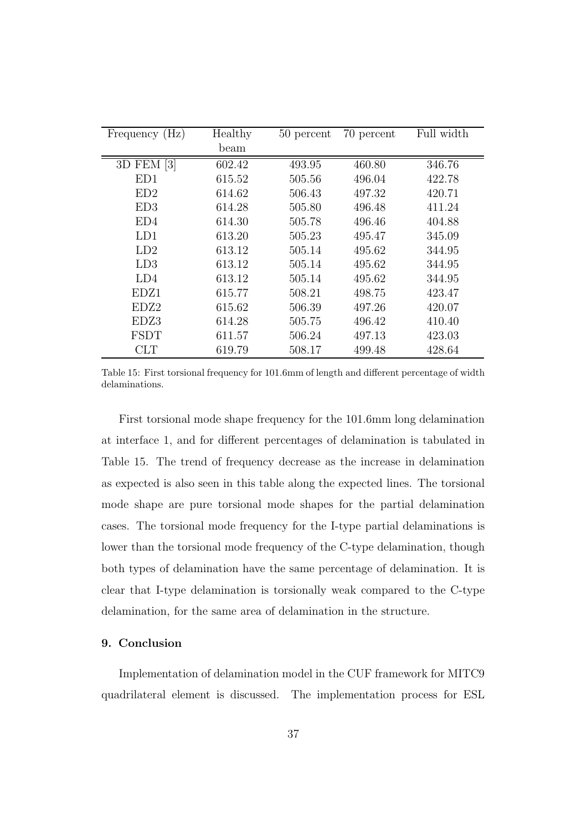| Frequency (Hz) | Healthy | 50 percent | 70 percent | Full width |
|----------------|---------|------------|------------|------------|
|                | beam    |            |            |            |
| 3D FEM [3]     | 602.42  | 493.95     | 460.80     | 346.76     |
| ED1            | 615.52  | 505.56     | 496.04     | 422.78     |
| ED2            | 614.62  | 506.43     | 497.32     | 420.71     |
| ED3            | 614.28  | 505.80     | 496.48     | 411.24     |
| ED4            | 614.30  | 505.78     | 496.46     | 404.88     |
| LD1            | 613.20  | 505.23     | 495.47     | 345.09     |
| LD2            | 613.12  | 505.14     | 495.62     | 344.95     |
| LD3            | 613.12  | 505.14     | 495.62     | 344.95     |
| LD4            | 613.12  | 505.14     | 495.62     | 344.95     |
| EDZ1           | 615.77  | 508.21     | 498.75     | 423.47     |
| EDZ2           | 615.62  | 506.39     | 497.26     | 420.07     |
| EDZ3           | 614.28  | 505.75     | 496.42     | 410.40     |
| <b>FSDT</b>    | 611.57  | 506.24     | 497.13     | 423.03     |
| <b>CLT</b>     | 619.79  | 508.17     | 499.48     | 428.64     |

Table 15: First torsional frequency for 101.6mm of length and different percentage of width delaminations.

First torsional mode shape frequency for the 101.6mm long delamination at interface 1, and for different percentages of delamination is tabulated in Table 15. The trend of frequency decrease as the increase in delamination as expected is also seen in this table along the expected lines. The torsional mode shape are pure torsional mode shapes for the partial delamination cases. The torsional mode frequency for the I-type partial delaminations is lower than the torsional mode frequency of the C-type delamination, though both types of delamination have the same percentage of delamination. It is clear that I-type delamination is torsionally weak compared to the C-type delamination, for the same area of delamination in the structure.

### 9. Conclusion

Implementation of delamination model in the CUF framework for MITC9 quadrilateral element is discussed. The implementation process for ESL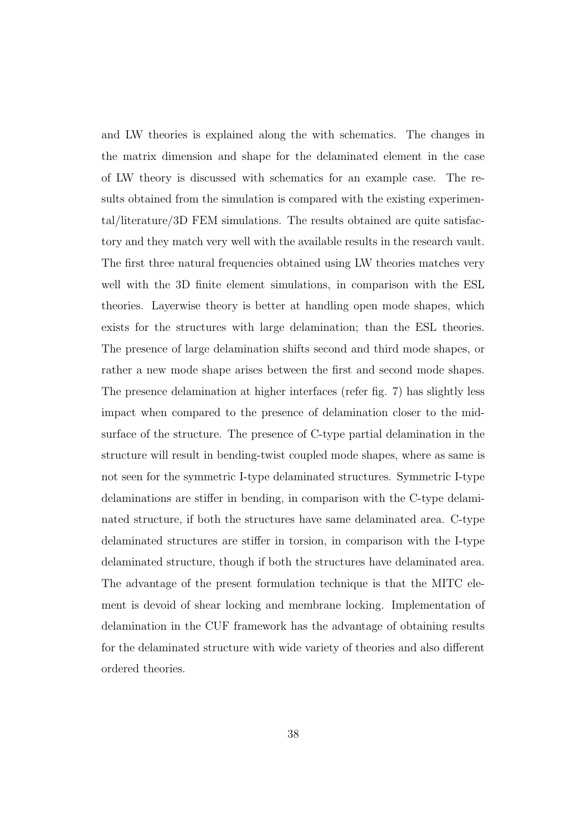and LW theories is explained along the with schematics. The changes in the matrix dimension and shape for the delaminated element in the case of LW theory is discussed with schematics for an example case. The results obtained from the simulation is compared with the existing experimental/literature/3D FEM simulations. The results obtained are quite satisfactory and they match very well with the available results in the research vault. The first three natural frequencies obtained using LW theories matches very well with the 3D finite element simulations, in comparison with the ESL theories. Layerwise theory is better at handling open mode shapes, which exists for the structures with large delamination; than the ESL theories. The presence of large delamination shifts second and third mode shapes, or rather a new mode shape arises between the first and second mode shapes. The presence delamination at higher interfaces (refer fig. 7) has slightly less impact when compared to the presence of delamination closer to the midsurface of the structure. The presence of C-type partial delamination in the structure will result in bending-twist coupled mode shapes, where as same is not seen for the symmetric I-type delaminated structures. Symmetric I-type delaminations are stiffer in bending, in comparison with the C-type delaminated structure, if both the structures have same delaminated area. C-type delaminated structures are stiffer in torsion, in comparison with the I-type delaminated structure, though if both the structures have delaminated area. The advantage of the present formulation technique is that the MITC element is devoid of shear locking and membrane locking. Implementation of delamination in the CUF framework has the advantage of obtaining results for the delaminated structure with wide variety of theories and also different ordered theories.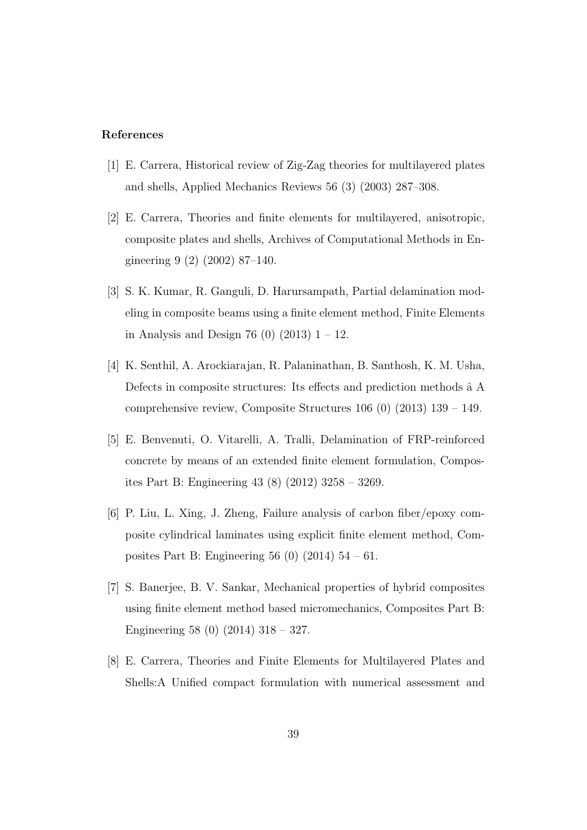### References

- [1] E. Carrera, Historical review of Zig-Zag theories for multilayered plates and shells, Applied Mechanics Reviews 56 (3) (2003) 287–308.
- [2] E. Carrera, Theories and finite elements for multilayered, anisotropic, composite plates and shells, Archives of Computational Methods in Engineering 9 (2) (2002) 87–140.
- [3] S. K. Kumar, R. Ganguli, D. Harursampath, Partial delamination modeling in composite beams using a finite element method, Finite Elements in Analysis and Design 76 (0)  $(2013)$  1 – 12.
- [4] K. Senthil, A. Arockiarajan, R. Palaninathan, B. Santhosh, K. M. Usha, Defects in composite structures: Its effects and prediction methods  $\hat{a}$  A comprehensive review, Composite Structures 106 (0) (2013) 139 – 149.
- [5] E. Benvenuti, O. Vitarelli, A. Tralli, Delamination of FRP-reinforced concrete by means of an extended finite element formulation, Composites Part B: Engineering 43 (8) (2012) 3258 – 3269.
- [6] P. Liu, L. Xing, J. Zheng, Failure analysis of carbon fiber/epoxy composite cylindrical laminates using explicit finite element method, Composites Part B: Engineering 56 (0) (2014) 54 – 61.
- [7] S. Banerjee, B. V. Sankar, Mechanical properties of hybrid composites using finite element method based micromechanics, Composites Part B: Engineering 58 (0) (2014) 318 – 327.
- [8] E. Carrera, Theories and Finite Elements for Multilayered Plates and Shells:A Unified compact formulation with numerical assessment and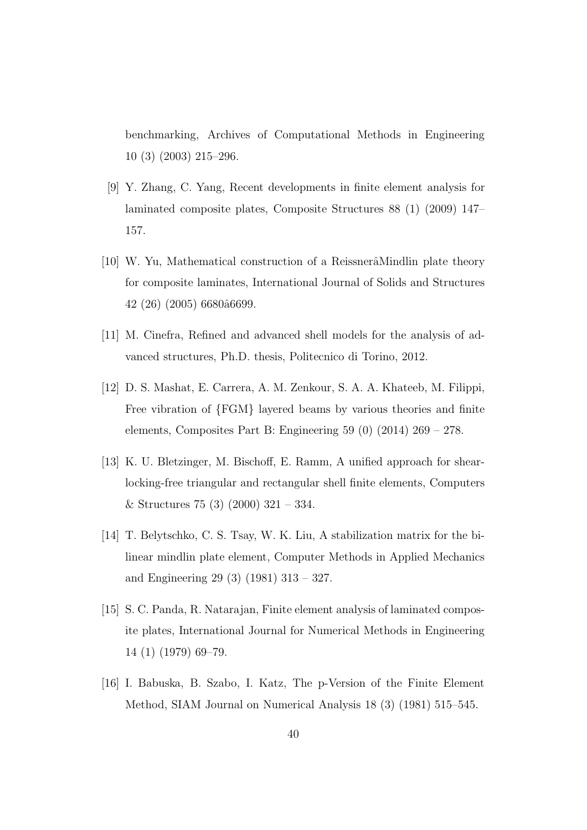benchmarking, Archives of Computational Methods in Engineering 10 (3) (2003) 215–296.

- [9] Y. Zhang, C. Yang, Recent developments in finite element analysis for laminated composite plates, Composite Structures 88 (1) (2009) 147– 157.
- [10] W. Yu, Mathematical construction of a Reissnera<sup>M</sup>indlin plate theory for composite laminates, International Journal of Solids and Structures 42 (26) (2005) 6680ˆa6699.
- [11] M. Cinefra, Refined and advanced shell models for the analysis of advanced structures, Ph.D. thesis, Politecnico di Torino, 2012.
- [12] D. S. Mashat, E. Carrera, A. M. Zenkour, S. A. A. Khateeb, M. Filippi, Free vibration of {FGM} layered beams by various theories and finite elements, Composites Part B: Engineering 59 (0) (2014) 269 – 278.
- [13] K. U. Bletzinger, M. Bischoff, E. Ramm, A unified approach for shearlocking-free triangular and rectangular shell finite elements, Computers & Structures 75 (3) (2000)  $321 - 334$ .
- [14] T. Belytschko, C. S. Tsay, W. K. Liu, A stabilization matrix for the bilinear mindlin plate element, Computer Methods in Applied Mechanics and Engineering 29 (3) (1981) 313 – 327.
- [15] S. C. Panda, R. Natarajan, Finite element analysis of laminated composite plates, International Journal for Numerical Methods in Engineering 14 (1) (1979) 69–79.
- [16] I. Babuska, B. Szabo, I. Katz, The p-Version of the Finite Element Method, SIAM Journal on Numerical Analysis 18 (3) (1981) 515–545.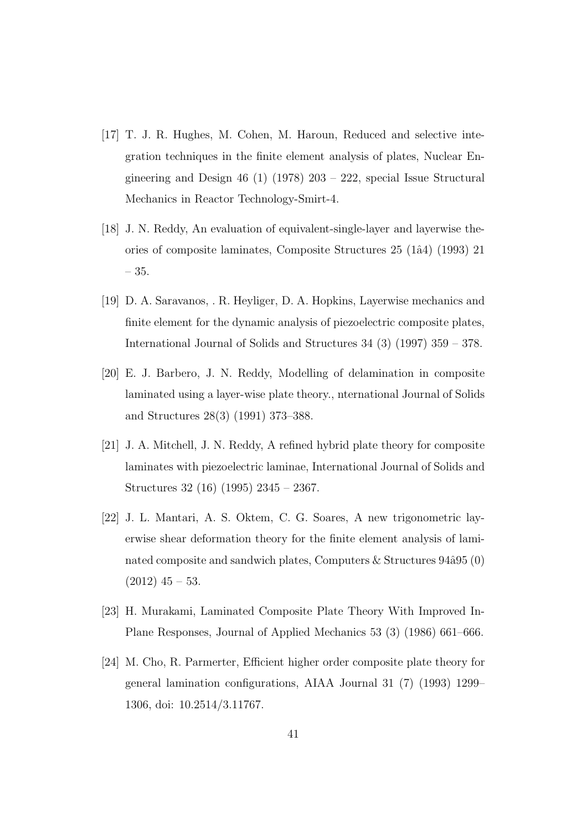- [17] T. J. R. Hughes, M. Cohen, M. Haroun, Reduced and selective integration techniques in the finite element analysis of plates, Nuclear Engineering and Design 46 (1) (1978)  $203 - 222$ , special Issue Structural Mechanics in Reactor Technology-Smirt-4.
- [18] J. N. Reddy, An evaluation of equivalent-single-layer and layerwise theories of composite laminates, Composite Structures 25 (1ˆa4) (1993) 21 – 35.
- [19] D. A. Saravanos, . R. Heyliger, D. A. Hopkins, Layerwise mechanics and finite element for the dynamic analysis of piezoelectric composite plates, International Journal of Solids and Structures 34 (3) (1997) 359 – 378.
- [20] E. J. Barbero, J. N. Reddy, Modelling of delamination in composite laminated using a layer-wise plate theory., nternational Journal of Solids and Structures 28(3) (1991) 373–388.
- [21] J. A. Mitchell, J. N. Reddy, A refined hybrid plate theory for composite laminates with piezoelectric laminae, International Journal of Solids and Structures 32 (16) (1995) 2345 – 2367.
- [22] J. L. Mantari, A. S. Oktem, C. G. Soares, A new trigonometric layerwise shear deformation theory for the finite element analysis of laminated composite and sandwich plates, Computers  $\&$  Structures 94 $\hat{a}$ 95 (0)  $(2012)$  45 – 53.
- [23] H. Murakami, Laminated Composite Plate Theory With Improved In-Plane Responses, Journal of Applied Mechanics 53 (3) (1986) 661–666.
- [24] M. Cho, R. Parmerter, Efficient higher order composite plate theory for general lamination configurations, AIAA Journal 31 (7) (1993) 1299– 1306, doi: 10.2514/3.11767.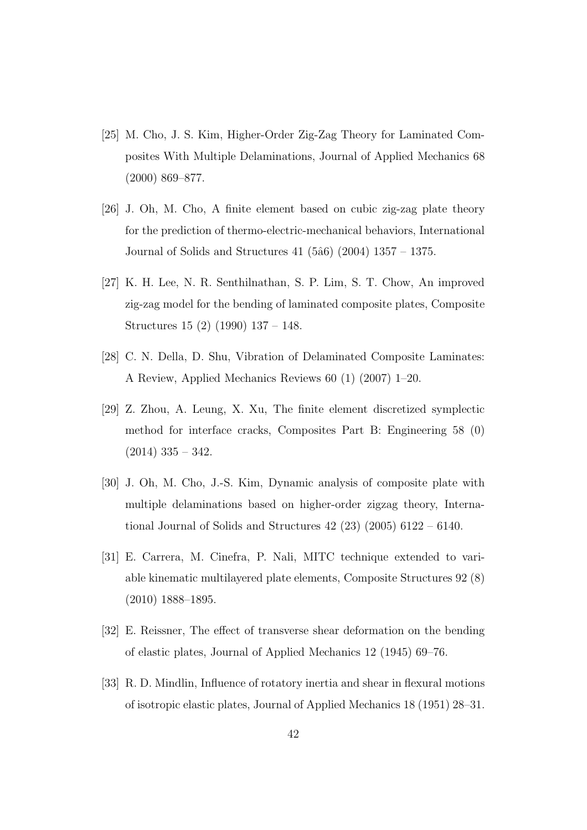- [25] M. Cho, J. S. Kim, Higher-Order Zig-Zag Theory for Laminated Composites With Multiple Delaminations, Journal of Applied Mechanics 68 (2000) 869–877.
- [26] J. Oh, M. Cho, A finite element based on cubic zig-zag plate theory for the prediction of thermo-electric-mechanical behaviors, International Journal of Solids and Structures  $41$  (5 $\hat{a}6$ ) (2004) 1357 – 1375.
- [27] K. H. Lee, N. R. Senthilnathan, S. P. Lim, S. T. Chow, An improved zig-zag model for the bending of laminated composite plates, Composite Structures 15 (2) (1990) 137 – 148.
- [28] C. N. Della, D. Shu, Vibration of Delaminated Composite Laminates: A Review, Applied Mechanics Reviews 60 (1) (2007) 1–20.
- [29] Z. Zhou, A. Leung, X. Xu, The finite element discretized symplectic method for interface cracks, Composites Part B: Engineering 58 (0)  $(2014)$  335 – 342.
- [30] J. Oh, M. Cho, J.-S. Kim, Dynamic analysis of composite plate with multiple delaminations based on higher-order zigzag theory, International Journal of Solids and Structures 42 (23) (2005) 6122 – 6140.
- [31] E. Carrera, M. Cinefra, P. Nali, MITC technique extended to variable kinematic multilayered plate elements, Composite Structures 92 (8) (2010) 1888–1895.
- [32] E. Reissner, The effect of transverse shear deformation on the bending of elastic plates, Journal of Applied Mechanics 12 (1945) 69–76.
- [33] R. D. Mindlin, Influence of rotatory inertia and shear in flexural motions of isotropic elastic plates, Journal of Applied Mechanics 18 (1951) 28–31.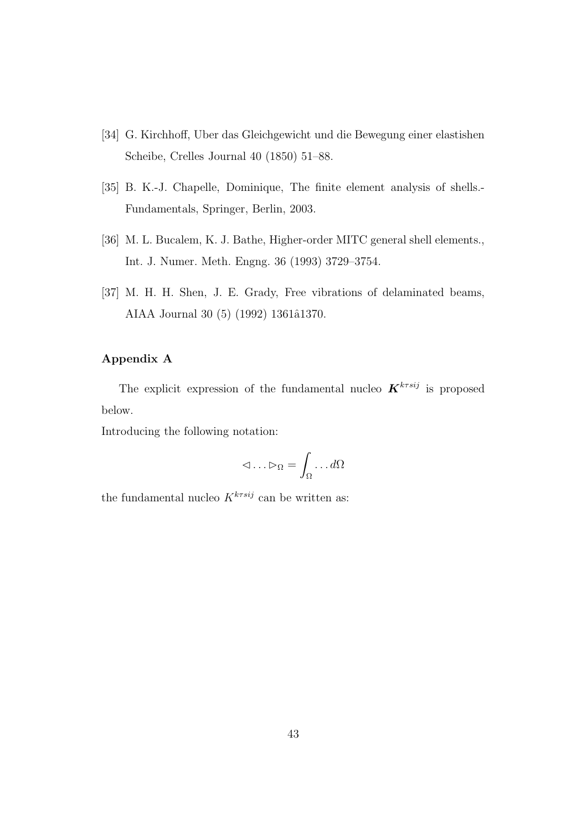- [34] G. Kirchhoff, Uber das Gleichgewicht und die Bewegung einer elastishen Scheibe, Crelles Journal 40 (1850) 51–88.
- [35] B. K.-J. Chapelle, Dominique, The finite element analysis of shells.- Fundamentals, Springer, Berlin, 2003.
- [36] M. L. Bucalem, K. J. Bathe, Higher-order MITC general shell elements., Int. J. Numer. Meth. Engng. 36 (1993) 3729–3754.
- [37] M. H. H. Shen, J. E. Grady, Free vibrations of delaminated beams, AIAA Journal 30 (5) (1992) 1361â1370.

### Appendix A

The explicit expression of the fundamental nucleo  $\mathbf{K}^{k\tau s i j}$  is proposed below.

Introducing the following notation:

$$
\lhd \ldots \rhd_\Omega = \int_\Omega \ldots d\Omega
$$

the fundamental nucleo  $K^{k\tau s i j}$  can be written as: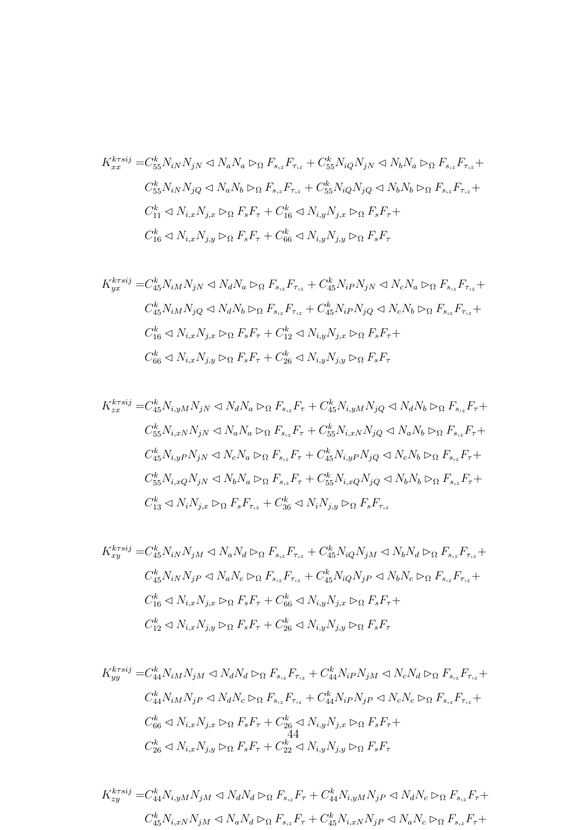$$
K_{xx}^{krsij} = C_{55}^k N_{iN} N_{jN} \triangleleft N_a N_a \triangleright_{\Omega} F_{s_{,z}} F_{\tau_{,z}} + C_{55}^k N_{iQ} N_{jN} \triangleleft N_b N_a \triangleright_{\Omega} F_{s_{,z}} F_{\tau_{,z}} +
$$
  
\n
$$
C_{55}^k N_{iN} N_{jQ} \triangleleft N_a N_b \triangleright_{\Omega} F_{s_{,z}} F_{\tau_{,z}} + C_{55}^k N_{iQ} N_{jQ} \triangleleft N_b N_b \triangleright_{\Omega} F_{s_{,z}} F_{\tau_{,z}} +
$$
  
\n
$$
C_{11}^k \triangleleft N_{i,x} N_{j,x} \triangleright_{\Omega} F_s F_{\tau} + C_{16}^k \triangleleft N_{i,y} N_{j,x} \triangleright_{\Omega} F_s F_{\tau} +
$$
  
\n
$$
C_{16}^k \triangleleft N_{i,x} N_{j,y} \triangleright_{\Omega} F_s F_{\tau} + C_{66}^k \triangleleft N_{i,y} N_{j,y} \triangleright_{\Omega} F_s F_{\tau}
$$

$$
K_{yx}^{k\tau sij} = C_{45}^k N_{iM} N_{jN} \triangleleft N_d N_a \triangleright_{\Omega} F_{s,z} F_{\tau,z} + C_{45}^k N_{iP} N_{jN} \triangleleft N_c N_a \triangleright_{\Omega} F_{s,z} F_{\tau,z} +
$$
  
\n
$$
C_{45}^k N_{iM} N_{jQ} \triangleleft N_d N_b \triangleright_{\Omega} F_{s,z} F_{\tau,z} + C_{45}^k N_{iP} N_{jQ} \triangleleft N_c N_b \triangleright_{\Omega} F_{s,z} F_{\tau,z} +
$$
  
\n
$$
C_{16}^k \triangleleft N_{i,x} N_{j,x} \triangleright_{\Omega} F_s F_{\tau} + C_{12}^k \triangleleft N_{i,y} N_{j,x} \triangleright_{\Omega} F_s F_{\tau} +
$$
  
\n
$$
C_{66}^k \triangleleft N_{i,x} N_{j,y} \triangleright_{\Omega} F_s F_{\tau} + C_{26}^k \triangleleft N_{i,y} N_{j,y} \triangleright_{\Omega} F_s F_{\tau}
$$

$$
K_{zx}^{krsij} = C_{45}^k N_{i,yM} N_{jN} \triangleleft N_d N_a \triangleright_{\Omega} F_{s,z} F_{\tau} + C_{45}^k N_{i,yM} N_{jQ} \triangleleft N_d N_b \triangleright_{\Omega} F_{s,z} F_{\tau} +
$$
  
\n
$$
C_{55}^k N_{i,xN} N_{jN} \triangleleft N_a N_a \triangleright_{\Omega} F_{s,z} F_{\tau} + C_{55}^k N_{i,xN} N_{jQ} \triangleleft N_a N_b \triangleright_{\Omega} F_{s,z} F_{\tau} +
$$
  
\n
$$
C_{45}^k N_{i,yP} N_{jN} \triangleleft N_c N_a \triangleright_{\Omega} F_{s,z} F_{\tau} + C_{45}^k N_{i,yP} N_{jQ} \triangleleft N_c N_b \triangleright_{\Omega} F_{s,z} F_{\tau} +
$$
  
\n
$$
C_{55}^k N_{i,xQ} N_{jN} \triangleleft N_b N_a \triangleright_{\Omega} F_{s,z} F_{\tau} + C_{55}^k N_{i,xQ} N_{jQ} \triangleleft N_b N_b \triangleright_{\Omega} F_{s,z} F_{\tau} +
$$
  
\n
$$
C_{13}^k \triangleleft N_i N_{j,x} \triangleright_{\Omega} F_s F_{\tau,z} + C_{36}^k \triangleleft N_i N_{j,y} \triangleright_{\Omega} F_s F_{\tau,z}
$$

$$
K_{xy}^{krsij} = C_{45}^k N_{iN} N_{jM} \triangleleft N_a N_d \triangleright_{\Omega} F_{s,z} F_{\tau,z} + C_{45}^k N_{iQ} N_{jM} \triangleleft N_b N_d \triangleright_{\Omega} F_{s,z} F_{\tau,z} +
$$
  
\n
$$
C_{45}^k N_{iN} N_{jP} \triangleleft N_a N_c \triangleright_{\Omega} F_{s,z} F_{\tau,z} + C_{45}^k N_{iQ} N_{jP} \triangleleft N_b N_c \triangleright_{\Omega} F_{s,z} F_{\tau,z} +
$$
  
\n
$$
C_{16}^k \triangleleft N_{i,x} N_{j,x} \triangleright_{\Omega} F_s F_{\tau} + C_{66}^k \triangleleft N_{i,y} N_{j,x} \triangleright_{\Omega} F_s F_{\tau} +
$$
  
\n
$$
C_{12}^k \triangleleft N_{i,x} N_{j,y} \triangleright_{\Omega} F_s F_{\tau} + C_{26}^k \triangleleft N_{i,y} N_{j,y} \triangleright_{\Omega} F_s F_{\tau}
$$

$$
K_{yy}^{krsij} = C_{44}^k N_{iM} N_{jM} \triangleleft N_d N_d \triangleright_{\Omega} F_{s,z} F_{\tau,z} + C_{44}^k N_{iP} N_{jM} \triangleleft N_c N_d \triangleright_{\Omega} F_{s,z} F_{\tau,z} + C_{44}^k N_{iM} N_{jP} \triangleleft N_d N_c \triangleright_{\Omega} F_{s,z} F_{\tau,z} + C_{44}^k N_{iP} N_{jP} \triangleleft N_c N_c \triangleright_{\Omega} F_{s,z} F_{\tau,z} + C_{66}^k \triangleleft N_{i,x} N_{j,x} \triangleright_{\Omega} F_s F_{\tau} + C_{26}^k \triangleleft N_{i,y} N_{j,x} \triangleright_{\Omega} F_s F_{\tau} + C_{26}^k \triangleleft N_{i,y} N_{j,y} \triangleright_{\Omega} F_s F_{\tau}
$$
\n
$$
C_{26}^k \triangleleft N_{i,x} N_{j,y} \triangleright_{\Omega} F_s F_{\tau} + C_{22}^k \triangleleft N_{i,y} N_{j,y} \triangleright_{\Omega} F_s F_{\tau}
$$

$$
K_{zy}^{krsij} = C_{44}^k N_{i,yM} N_{jM} \triangleleft N_d N_d \triangleright_{\Omega} F_{s,z} F_{\tau} + C_{44}^k N_{i,yM} N_{jP} \triangleleft N_d N_c \triangleright_{\Omega} F_{s,z} F_{\tau} + C_{45}^k N_{i,xN} N_{jN} \triangleleft N_d N_c \triangleright_{\Omega} F_{s,z} F_{\tau} + C_{45}^k N_{i,xN} N_{jP} \triangleleft N_a N_c \triangleright_{\Omega} F_{s,z} F_{\tau} + C_{45}^k N_{i,xN} N_{jP} \triangleleft N_a N_c \triangleright_{\Omega} F_{s,z} F_{\tau} + C_{45}^k N_{i,xN} N_{jP} \triangleleft N_a N_c \triangleright_{\Omega} F_{s,z} F_{\tau} + C_{45}^k N_{i,xN} N_{jP} \triangleleft N_a N_c \triangleright_{\Omega} F_{s,z} F_{\tau} + C_{45}^k N_{i,xN} N_a N_c \triangleright_{\Omega} F_{s,z} F_{\tau} + C_{45}^k N_{i,xN} N_a N_c \triangleright_{\Omega} F_{s,z} F_{\tau} + C_{45}^k N_{i,xN} N_a N_c \triangleright_{\Omega} F_{s,z} F_{\tau} + C_{45}^k N_{i,xN} N_a N_c \triangleright_{\Omega} F_{s,z} F_{\tau} + C_{45}^k N_{i,xN} N_a N_c \triangleright_{\Omega} F_{s,z} F_{\tau} + C_{45}^k N_{i,xN} N_a N_c \triangleright_{\Omega} F_{s,z} F_{\tau} + C_{45}^k N_{i,xN} N_a N_c \triangleright_{\Omega} F_{s,z} F_{\tau} + C_{45}^k N_{i,xN} N_a N_c \triangleright_{\Omega} F_{s,z} F_{\tau} + C_{45}^k N_{i,xN} N_a N_c \triangleright_{\Omega} F_{s,z} F_{\tau} + C_{45}^k N_{i,xN} N_a N_c \triangleright_{\Omega} F_{s,z} F_{\tau} + C_{45}^k N_{i,xN} N_a N_c \triangleright_{\Omega} F_{s,z} F_{\tau} + C_{45}^k N_{i,xN} N_a N_c \triangleright_{\Omega} F_{s,z} F_{\tau} + C_{45}^k N_{
$$